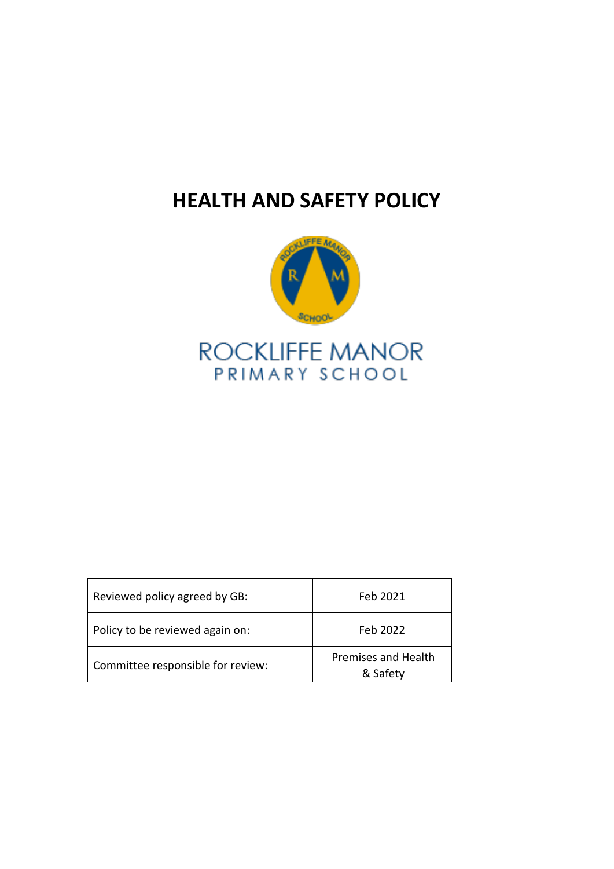# **HEALTH AND SAFETY POLICY**



| Reviewed policy agreed by GB:     | Feb 2021                               |
|-----------------------------------|----------------------------------------|
| Policy to be reviewed again on:   | Feb 2022                               |
| Committee responsible for review: | <b>Premises and Health</b><br>& Safety |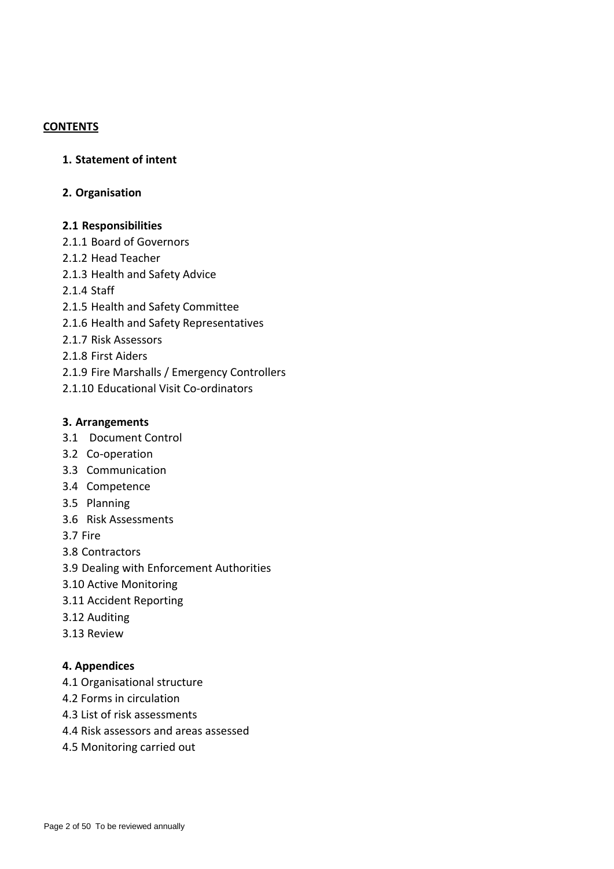#### **CONTENTS**

#### **1. Statement of intent**

#### **2. Organisation**

#### **2.1 Responsibilities**

- 2.1.1 Board of Governors
- 2.1.2 Head Teacher
- 2.1.3 Health and Safety Advice
- 2.1.4 Staff
- 2.1.5 Health and Safety Committee
- 2.1.6 Health and Safety Representatives
- 2.1.7 Risk Assessors
- 2.1.8 First Aiders
- 2.1.9 Fire Marshalls / Emergency Controllers
- 2.1.10 Educational Visit Co-ordinators

#### **3. Arrangements**

- 3.1 Document Control
- 3.2 Co-operation
- 3.3 Communication
- 3.4 Competence
- 3.5 Planning
- 3.6 Risk Assessments
- 3.7 Fire
- 3.8 Contractors
- 3.9 Dealing with Enforcement Authorities
- 3.10 Active Monitoring
- 3.11 Accident Reporting
- 3.12 Auditing
- 3.13 Review

#### **4. Appendices**

- 4.1 Organisational structure
- 4.2 Forms in circulation
- 4.3 List of risk assessments
- 4.4 Risk assessors and areas assessed
- 4.5 Monitoring carried out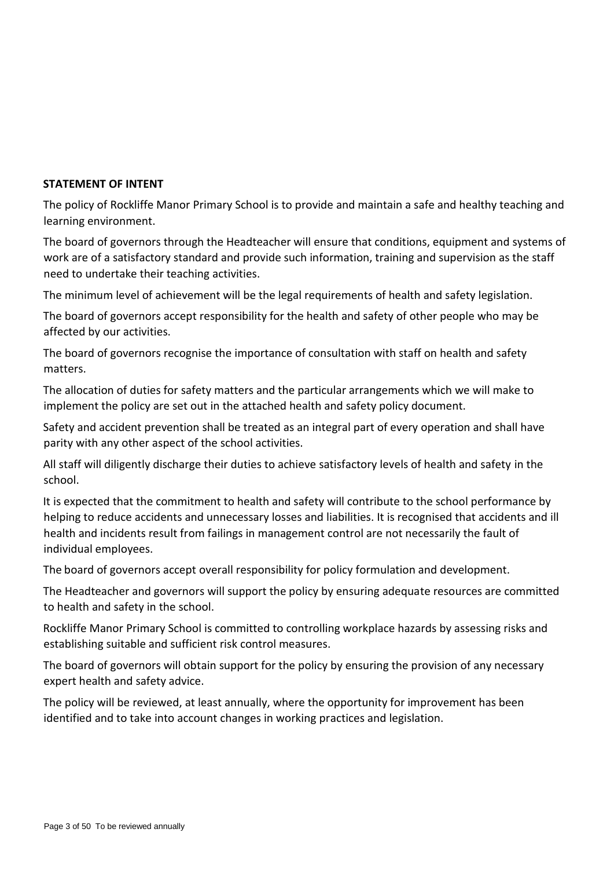#### **STATEMENT OF INTENT**

The policy of Rockliffe Manor Primary School is to provide and maintain a safe and healthy teaching and learning environment.

The board of governors through the Headteacher will ensure that conditions, equipment and systems of work are of a satisfactory standard and provide such information, training and supervision as the staff need to undertake their teaching activities.

The minimum level of achievement will be the legal requirements of health and safety legislation.

The board of governors accept responsibility for the health and safety of other people who may be affected by our activities.

The board of governors recognise the importance of consultation with staff on health and safety matters.

The allocation of duties for safety matters and the particular arrangements which we will make to implement the policy are set out in the attached health and safety policy document.

Safety and accident prevention shall be treated as an integral part of every operation and shall have parity with any other aspect of the school activities.

All staff will diligently discharge their duties to achieve satisfactory levels of health and safety in the school.

It is expected that the commitment to health and safety will contribute to the school performance by helping to reduce accidents and unnecessary losses and liabilities. It is recognised that accidents and ill health and incidents result from failings in management control are not necessarily the fault of individual employees.

The board of governors accept overall responsibility for policy formulation and development.

The Headteacher and governors will support the policy by ensuring adequate resources are committed to health and safety in the school.

Rockliffe Manor Primary School is committed to controlling workplace hazards by assessing risks and establishing suitable and sufficient risk control measures.

The board of governors will obtain support for the policy by ensuring the provision of any necessary expert health and safety advice.

The policy will be reviewed, at least annually, where the opportunity for improvement has been identified and to take into account changes in working practices and legislation.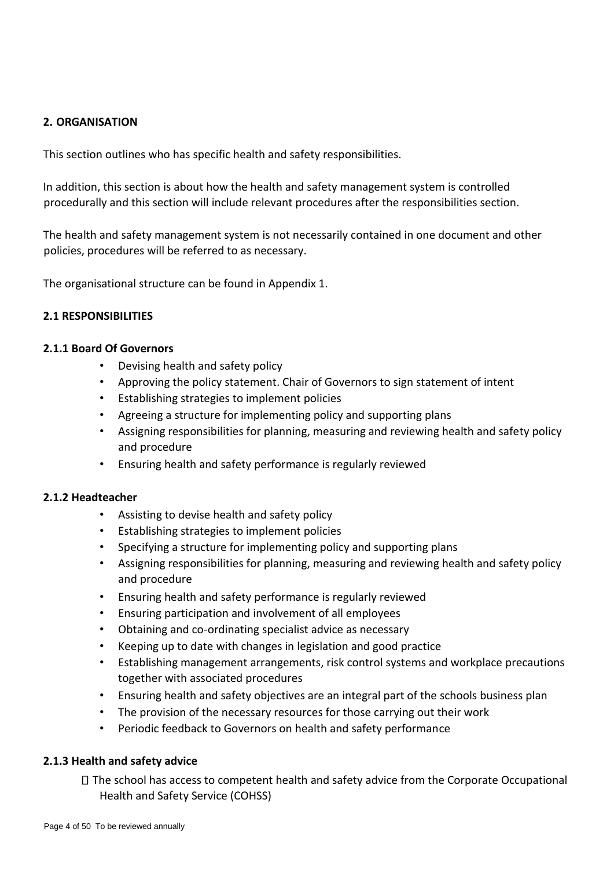#### **2. ORGANISATION**

This section outlines who has specific health and safety responsibilities.

In addition, this section is about how the health and safety management system is controlled procedurally and this section will include relevant procedures after the responsibilities section.

The health and safety management system is not necessarily contained in one document and other policies, procedures will be referred to as necessary.

The organisational structure can be found in Appendix 1.

#### **2.1 RESPONSIBILITIES**

#### **2.1.1 Board Of Governors**

- Devising health and safety policy
- Approving the policy statement. Chair of Governors to sign statement of intent
- Establishing strategies to implement policies
- Agreeing a structure for implementing policy and supporting plans
- Assigning responsibilities for planning, measuring and reviewing health and safety policy and procedure
- Ensuring health and safety performance is regularly reviewed

#### **2.1.2 Headteacher**

- Assisting to devise health and safety policy
- Establishing strategies to implement policies
- Specifying a structure for implementing policy and supporting plans
- Assigning responsibilities for planning, measuring and reviewing health and safety policy and procedure
- Ensuring health and safety performance is regularly reviewed
- Ensuring participation and involvement of all employees
- Obtaining and co-ordinating specialist advice as necessary
- Keeping up to date with changes in legislation and good practice
- Establishing management arrangements, risk control systems and workplace precautions together with associated procedures
- Ensuring health and safety objectives are an integral part of the schools business plan
- The provision of the necessary resources for those carrying out their work
- Periodic feedback to Governors on health and safety performance

#### **2.1.3 Health and safety advice**

 $\Box$  The school has access to competent health and safety advice from the Corporate Occupational Health and Safety Service (COHSS)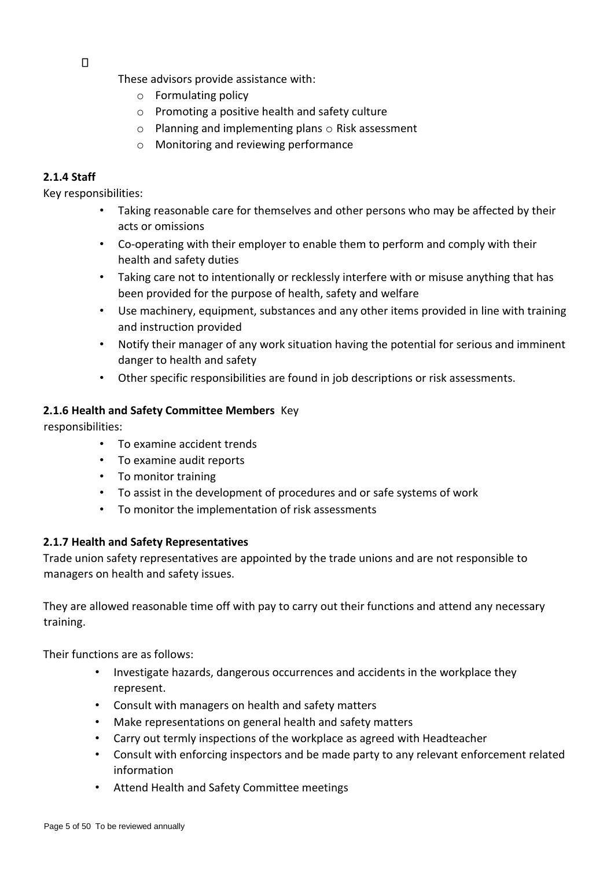$\Box$ 

These advisors provide assistance with:

- o Formulating policy
- o Promoting a positive health and safety culture
- $\circ$  Planning and implementing plans  $\circ$  Risk assessment
- o Monitoring and reviewing performance

## **2.1.4 Staff**

Key responsibilities:

- Taking reasonable care for themselves and other persons who may be affected by their acts or omissions
- Co-operating with their employer to enable them to perform and comply with their health and safety duties
- Taking care not to intentionally or recklessly interfere with or misuse anything that has been provided for the purpose of health, safety and welfare
- Use machinery, equipment, substances and any other items provided in line with training and instruction provided
- Notify their manager of any work situation having the potential for serious and imminent danger to health and safety
- Other specific responsibilities are found in job descriptions or risk assessments.

#### **2.1.6 Health and Safety Committee Members** Key

responsibilities:

- To examine accident trends
- To examine audit reports
- To monitor training
- To assist in the development of procedures and or safe systems of work
- To monitor the implementation of risk assessments

#### **2.1.7 Health and Safety Representatives**

Trade union safety representatives are appointed by the trade unions and are not responsible to managers on health and safety issues.

They are allowed reasonable time off with pay to carry out their functions and attend any necessary training.

Their functions are as follows:

- Investigate hazards, dangerous occurrences and accidents in the workplace they represent.
- Consult with managers on health and safety matters
- Make representations on general health and safety matters
- Carry out termly inspections of the workplace as agreed with Headteacher
- Consult with enforcing inspectors and be made party to any relevant enforcement related information
- Attend Health and Safety Committee meetings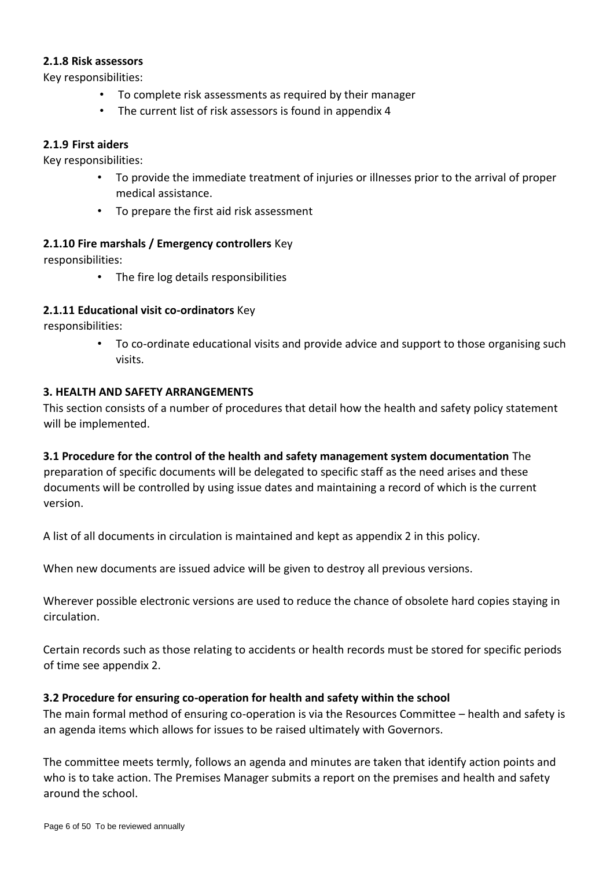#### **2.1.8 Risk assessors**

Key responsibilities:

- To complete risk assessments as required by their manager
- The current list of risk assessors is found in appendix 4

#### **2.1.9 First aiders**

Key responsibilities:

- To provide the immediate treatment of injuries or illnesses prior to the arrival of proper medical assistance.
- To prepare the first aid risk assessment

#### **2.1.10 Fire marshals / Emergency controllers** Key

responsibilities:

• The fire log details responsibilities

#### **2.1.11 Educational visit co-ordinators** Key

responsibilities:

• To co-ordinate educational visits and provide advice and support to those organising such visits.

#### **3. HEALTH AND SAFETY ARRANGEMENTS**

This section consists of a number of procedures that detail how the health and safety policy statement will be implemented.

**3.1 Procedure for the control of the health and safety management system documentation** The preparation of specific documents will be delegated to specific staff as the need arises and these documents will be controlled by using issue dates and maintaining a record of which is the current version.

A list of all documents in circulation is maintained and kept as appendix 2 in this policy.

When new documents are issued advice will be given to destroy all previous versions.

Wherever possible electronic versions are used to reduce the chance of obsolete hard copies staying in circulation.

Certain records such as those relating to accidents or health records must be stored for specific periods of time see appendix 2.

#### **3.2 Procedure for ensuring co-operation for health and safety within the school**

The main formal method of ensuring co-operation is via the Resources Committee – health and safety is an agenda items which allows for issues to be raised ultimately with Governors.

The committee meets termly, follows an agenda and minutes are taken that identify action points and who is to take action. The Premises Manager submits a report on the premises and health and safety around the school.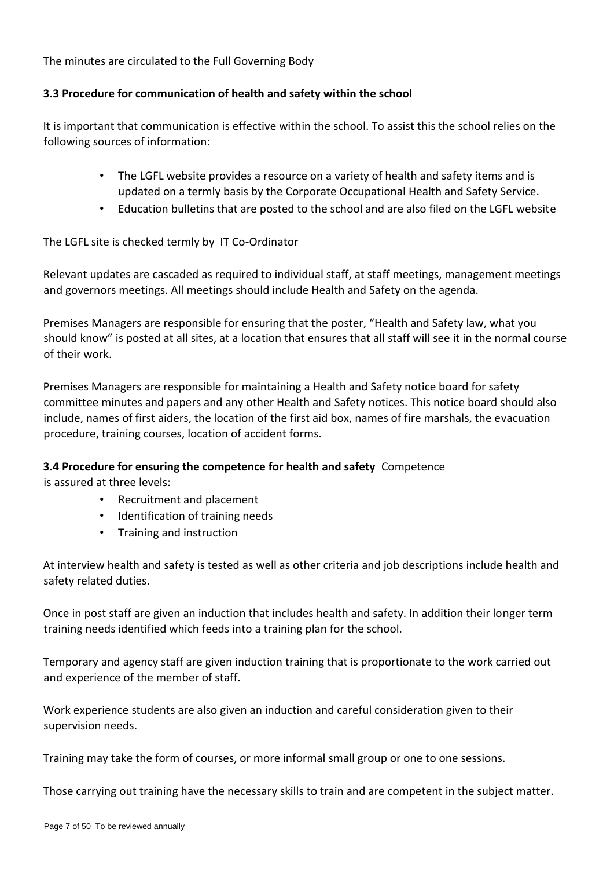The minutes are circulated to the Full Governing Body

#### **3.3 Procedure for communication of health and safety within the school**

It is important that communication is effective within the school. To assist this the school relies on the following sources of information:

- The LGFL website provides a resource on a variety of health and safety items and is updated on a termly basis by the Corporate Occupational Health and Safety Service.
- Education bulletins that are posted to the school and are also filed on the LGFL website

The LGFL site is checked termly by IT Co-Ordinator

Relevant updates are cascaded as required to individual staff, at staff meetings, management meetings and governors meetings. All meetings should include Health and Safety on the agenda.

Premises Managers are responsible for ensuring that the poster, "Health and Safety law, what you should know" is posted at all sites, at a location that ensures that all staff will see it in the normal course of their work.

Premises Managers are responsible for maintaining a Health and Safety notice board for safety committee minutes and papers and any other Health and Safety notices. This notice board should also include, names of first aiders, the location of the first aid box, names of fire marshals, the evacuation procedure, training courses, location of accident forms.

#### **3.4 Procedure for ensuring the competence for health and safety** Competence

is assured at three levels:

- Recruitment and placement
- Identification of training needs
- Training and instruction

At interview health and safety is tested as well as other criteria and job descriptions include health and safety related duties.

Once in post staff are given an induction that includes health and safety. In addition their longer term training needs identified which feeds into a training plan for the school.

Temporary and agency staff are given induction training that is proportionate to the work carried out and experience of the member of staff.

Work experience students are also given an induction and careful consideration given to their supervision needs.

Training may take the form of courses, or more informal small group or one to one sessions.

Those carrying out training have the necessary skills to train and are competent in the subject matter.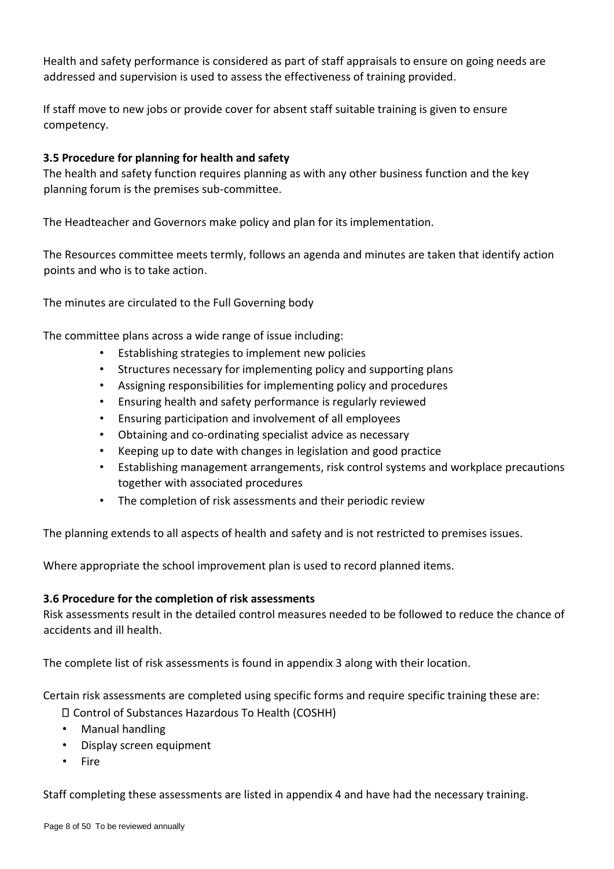Health and safety performance is considered as part of staff appraisals to ensure on going needs are addressed and supervision is used to assess the effectiveness of training provided.

If staff move to new jobs or provide cover for absent staff suitable training is given to ensure competency.

#### **3.5 Procedure for planning for health and safety**

The health and safety function requires planning as with any other business function and the key planning forum is the premises sub-committee.

The Headteacher and Governors make policy and plan for its implementation.

The Resources committee meets termly, follows an agenda and minutes are taken that identify action points and who is to take action.

The minutes are circulated to the Full Governing body

The committee plans across a wide range of issue including:

- Establishing strategies to implement new policies
- Structures necessary for implementing policy and supporting plans
- Assigning responsibilities for implementing policy and procedures
- Ensuring health and safety performance is regularly reviewed
- Ensuring participation and involvement of all employees
- Obtaining and co-ordinating specialist advice as necessary
- Keeping up to date with changes in legislation and good practice
- Establishing management arrangements, risk control systems and workplace precautions together with associated procedures
- The completion of risk assessments and their periodic review

The planning extends to all aspects of health and safety and is not restricted to premises issues.

Where appropriate the school improvement plan is used to record planned items.

#### **3.6 Procedure for the completion of risk assessments**

Risk assessments result in the detailed control measures needed to be followed to reduce the chance of accidents and ill health.

The complete list of risk assessments is found in appendix 3 along with their location.

Certain risk assessments are completed using specific forms and require specific training these are:

- Control of Substances Hazardous To Health (COSHH)
- Manual handling
- Display screen equipment
- Fire

Staff completing these assessments are listed in appendix 4 and have had the necessary training.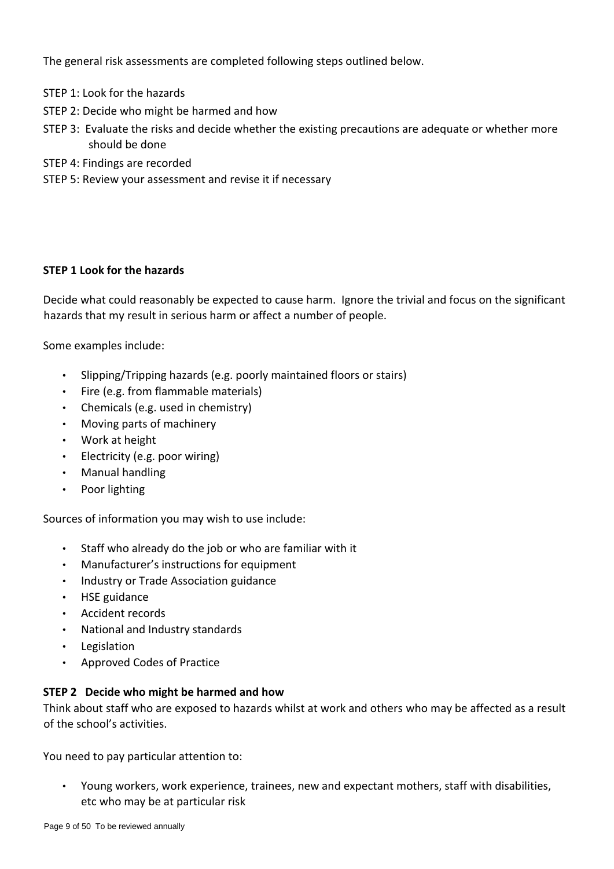The general risk assessments are completed following steps outlined below.

- STEP 1: Look for the hazards
- STEP 2: Decide who might be harmed and how
- STEP 3: Evaluate the risks and decide whether the existing precautions are adequate or whether more should be done
- STEP 4: Findings are recorded
- STEP 5: Review your assessment and revise it if necessary

#### **STEP 1 Look for the hazards**

Decide what could reasonably be expected to cause harm. Ignore the trivial and focus on the significant hazards that my result in serious harm or affect a number of people.

Some examples include:

- Slipping/Tripping hazards (e.g. poorly maintained floors or stairs)
- Fire (e.g. from flammable materials)
- Chemicals (e.g. used in chemistry)
- Moving parts of machinery
- Work at height
- Electricity (e.g. poor wiring)
- Manual handling
- Poor lighting

Sources of information you may wish to use include:

- Staff who already do the job or who are familiar with it
- Manufacturer's instructions for equipment
- Industry or Trade Association guidance
- HSE guidance
- Accident records
- National and Industry standards
- Legislation
- Approved Codes of Practice

#### **STEP 2 Decide who might be harmed and how**

Think about staff who are exposed to hazards whilst at work and others who may be affected as a result of the school's activities.

You need to pay particular attention to:

• Young workers, work experience, trainees, new and expectant mothers, staff with disabilities, etc who may be at particular risk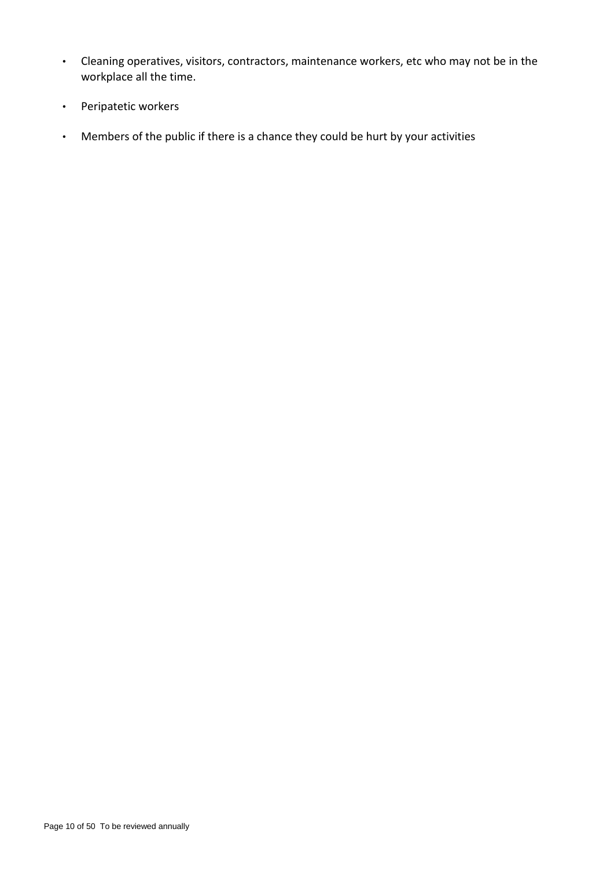- Cleaning operatives, visitors, contractors, maintenance workers, etc who may not be in the workplace all the time.
- Peripatetic workers
- Members of the public if there is a chance they could be hurt by your activities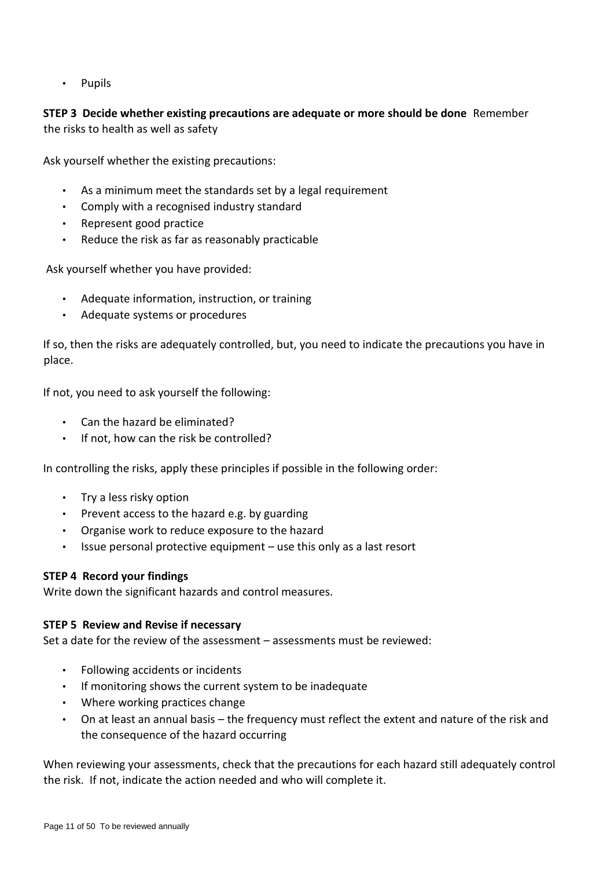• Pupils

## **STEP 3 Decide whether existing precautions are adequate or more should be done** Remember the risks to health as well as safety

Ask yourself whether the existing precautions:

- As a minimum meet the standards set by a legal requirement
- Comply with a recognised industry standard
- Represent good practice
- Reduce the risk as far as reasonably practicable

Ask yourself whether you have provided:

- Adequate information, instruction, or training
- Adequate systems or procedures

If so, then the risks are adequately controlled, but, you need to indicate the precautions you have in place.

If not, you need to ask yourself the following:

- Can the hazard be eliminated?
- If not, how can the risk be controlled?

In controlling the risks, apply these principles if possible in the following order:

- Try a less risky option
- Prevent access to the hazard e.g. by guarding
- Organise work to reduce exposure to the hazard
- Issue personal protective equipment use this only as a last resort

#### **STEP 4 Record your findings**

Write down the significant hazards and control measures.

#### **STEP 5 Review and Revise if necessary**

Set a date for the review of the assessment – assessments must be reviewed:

- Following accidents or incidents
- If monitoring shows the current system to be inadequate
- Where working practices change
- On at least an annual basis the frequency must reflect the extent and nature of the risk and the consequence of the hazard occurring

When reviewing your assessments, check that the precautions for each hazard still adequately control the risk. If not, indicate the action needed and who will complete it.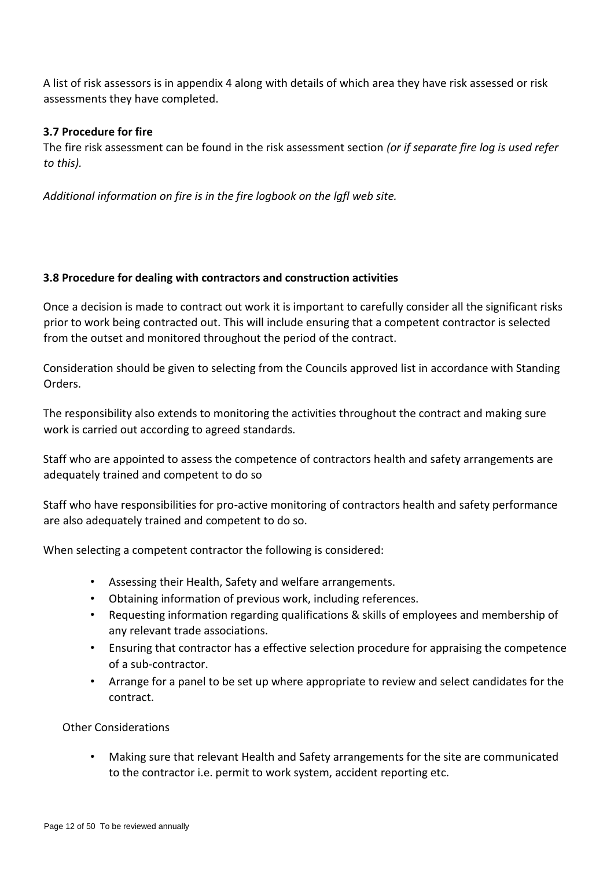A list of risk assessors is in appendix 4 along with details of which area they have risk assessed or risk assessments they have completed.

#### **3.7 Procedure for fire**

The fire risk assessment can be found in the risk assessment section *(or if separate fire log is used refer to this).*

*Additional information on fire is in the fire logbook on the lgfl web site.* 

#### **3.8 Procedure for dealing with contractors and construction activities**

Once a decision is made to contract out work it is important to carefully consider all the significant risks prior to work being contracted out. This will include ensuring that a competent contractor is selected from the outset and monitored throughout the period of the contract.

Consideration should be given to selecting from the Councils approved list in accordance with Standing Orders.

The responsibility also extends to monitoring the activities throughout the contract and making sure work is carried out according to agreed standards.

Staff who are appointed to assess the competence of contractors health and safety arrangements are adequately trained and competent to do so

Staff who have responsibilities for pro-active monitoring of contractors health and safety performance are also adequately trained and competent to do so.

When selecting a competent contractor the following is considered:

- Assessing their Health, Safety and welfare arrangements.
- Obtaining information of previous work, including references.
- Requesting information regarding qualifications & skills of employees and membership of any relevant trade associations.
- Ensuring that contractor has a effective selection procedure for appraising the competence of a sub-contractor.
- Arrange for a panel to be set up where appropriate to review and select candidates for the contract.

Other Considerations

• Making sure that relevant Health and Safety arrangements for the site are communicated to the contractor i.e. permit to work system, accident reporting etc.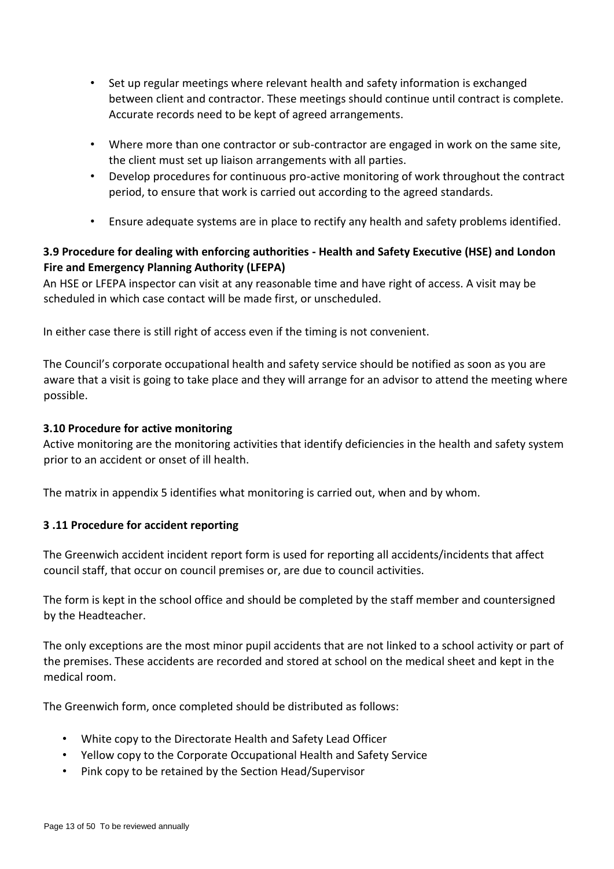- Set up regular meetings where relevant health and safety information is exchanged between client and contractor. These meetings should continue until contract is complete. Accurate records need to be kept of agreed arrangements.
- Where more than one contractor or sub-contractor are engaged in work on the same site, the client must set up liaison arrangements with all parties.
- Develop procedures for continuous pro-active monitoring of work throughout the contract period, to ensure that work is carried out according to the agreed standards.
- Ensure adequate systems are in place to rectify any health and safety problems identified.

## **3.9 Procedure for dealing with enforcing authorities - Health and Safety Executive (HSE) and London Fire and Emergency Planning Authority (LFEPA)**

An HSE or LFEPA inspector can visit at any reasonable time and have right of access. A visit may be scheduled in which case contact will be made first, or unscheduled.

In either case there is still right of access even if the timing is not convenient.

The Council's corporate occupational health and safety service should be notified as soon as you are aware that a visit is going to take place and they will arrange for an advisor to attend the meeting where possible.

#### **3.10 Procedure for active monitoring**

Active monitoring are the monitoring activities that identify deficiencies in the health and safety system prior to an accident or onset of ill health.

The matrix in appendix 5 identifies what monitoring is carried out, when and by whom.

#### **3 .11 Procedure for accident reporting**

The Greenwich accident incident report form is used for reporting all accidents/incidents that affect council staff, that occur on council premises or, are due to council activities.

The form is kept in the school office and should be completed by the staff member and countersigned by the Headteacher.

The only exceptions are the most minor pupil accidents that are not linked to a school activity or part of the premises. These accidents are recorded and stored at school on the medical sheet and kept in the medical room.

The Greenwich form, once completed should be distributed as follows:

- White copy to the Directorate Health and Safety Lead Officer
- Yellow copy to the Corporate Occupational Health and Safety Service
- Pink copy to be retained by the Section Head/Supervisor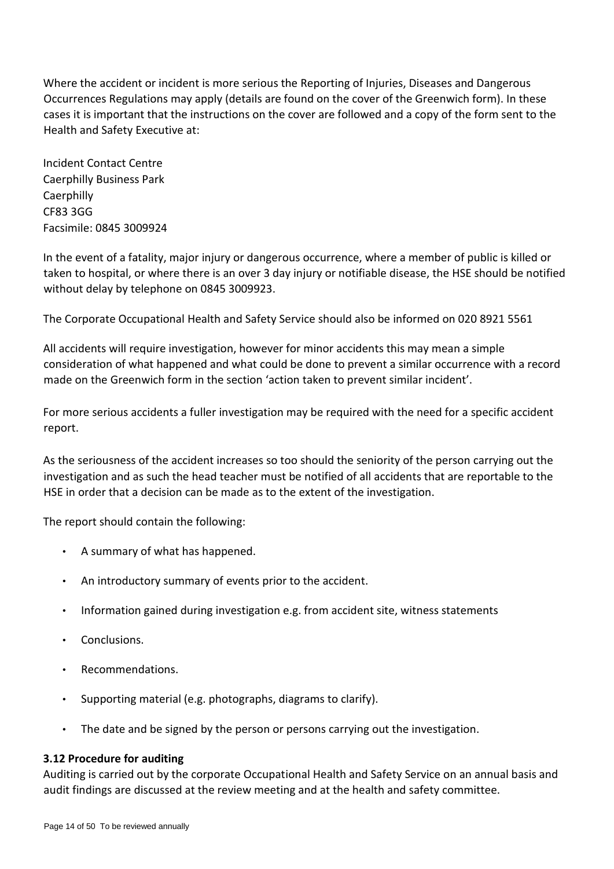Where the accident or incident is more serious the Reporting of Injuries, Diseases and Dangerous Occurrences Regulations may apply (details are found on the cover of the Greenwich form). In these cases it is important that the instructions on the cover are followed and a copy of the form sent to the Health and Safety Executive at:

Incident Contact Centre Caerphilly Business Park Caerphilly CF83 3GG Facsimile: 0845 3009924

In the event of a fatality, major injury or dangerous occurrence, where a member of public is killed or taken to hospital, or where there is an over 3 day injury or notifiable disease, the HSE should be notified without delay by telephone on 0845 3009923.

The Corporate Occupational Health and Safety Service should also be informed on 020 8921 5561

All accidents will require investigation, however for minor accidents this may mean a simple consideration of what happened and what could be done to prevent a similar occurrence with a record made on the Greenwich form in the section 'action taken to prevent similar incident'.

For more serious accidents a fuller investigation may be required with the need for a specific accident report.

As the seriousness of the accident increases so too should the seniority of the person carrying out the investigation and as such the head teacher must be notified of all accidents that are reportable to the HSE in order that a decision can be made as to the extent of the investigation.

The report should contain the following:

- A summary of what has happened.
- An introductory summary of events prior to the accident.
- Information gained during investigation e.g. from accident site, witness statements
- Conclusions.
- Recommendations.
- Supporting material (e.g. photographs, diagrams to clarify).
- The date and be signed by the person or persons carrying out the investigation.

#### **3.12 Procedure for auditing**

Auditing is carried out by the corporate Occupational Health and Safety Service on an annual basis and audit findings are discussed at the review meeting and at the health and safety committee.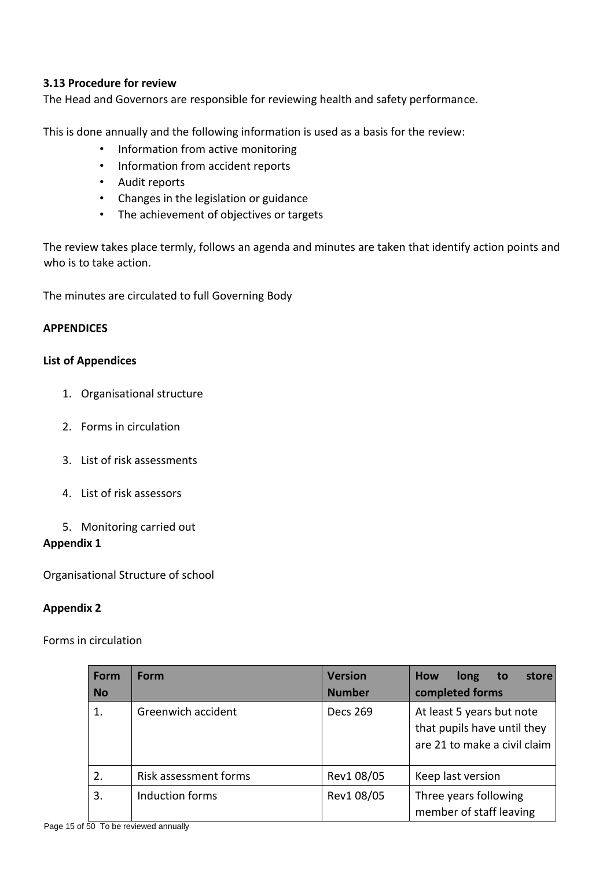#### **3.13 Procedure for review**

The Head and Governors are responsible for reviewing health and safety performance.

This is done annually and the following information is used as a basis for the review:

- Information from active monitoring
- Information from accident reports
- Audit reports
- Changes in the legislation or guidance
- The achievement of objectives or targets

The review takes place termly, follows an agenda and minutes are taken that identify action points and who is to take action.

The minutes are circulated to full Governing Body

#### **APPENDICES**

#### **List of Appendices**

- 1. Organisational structure
- 2. Forms in circulation
- 3. List of risk assessments
- 4. List of risk assessors
- 5. Monitoring carried out

#### **Appendix 1**

Organisational Structure of school

#### **Appendix 2**

Forms in circulation

| Form<br><b>No</b> | <b>Form</b>           | <b>Version</b><br><b>Number</b> | <b>How</b><br>long<br>store<br>to<br>completed forms                                     |  |  |
|-------------------|-----------------------|---------------------------------|------------------------------------------------------------------------------------------|--|--|
| 1.                | Greenwich accident    | <b>Decs 269</b>                 | At least 5 years but note<br>that pupils have until they<br>are 21 to make a civil claim |  |  |
| 2.                | Risk assessment forms | Rev1 08/05                      | Keep last version                                                                        |  |  |
| 3.                | Induction forms       | Rev1 08/05                      | Three years following<br>member of staff leaving                                         |  |  |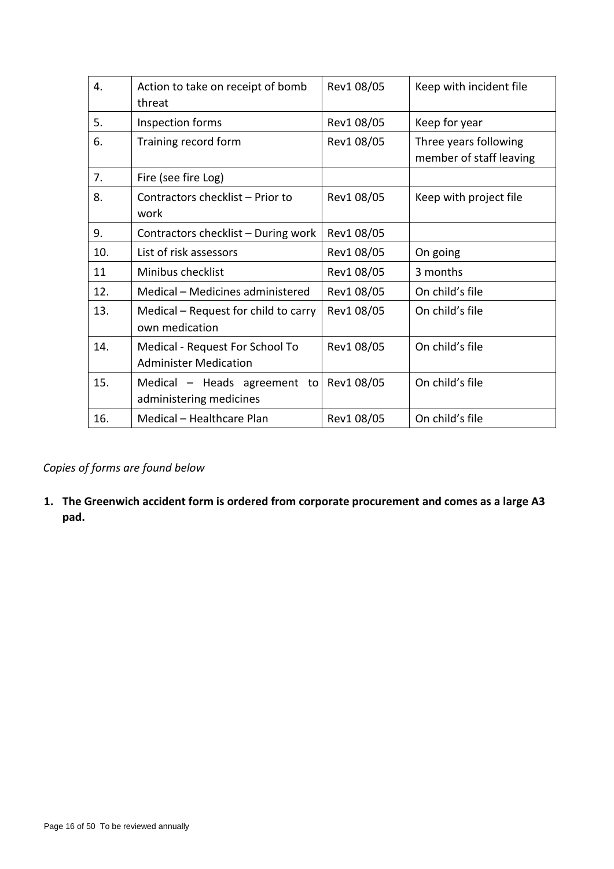| 4.  | Action to take on receipt of bomb<br>threat                     | Rev1 08/05 | Keep with incident file                          |
|-----|-----------------------------------------------------------------|------------|--------------------------------------------------|
| 5.  | Inspection forms                                                | Rev1 08/05 | Keep for year                                    |
| 6.  | Training record form                                            | Rev1 08/05 | Three years following<br>member of staff leaving |
| 7.  | Fire (see fire Log)                                             |            |                                                  |
| 8.  | Contractors checklist - Prior to<br>work                        | Rev1 08/05 | Keep with project file                           |
| 9.  | Contractors checklist - During work                             | Rev1 08/05 |                                                  |
| 10. | List of risk assessors                                          | Rev1 08/05 | On going                                         |
| 11  | Minibus checklist                                               | Rev1 08/05 | 3 months                                         |
| 12. | Medical - Medicines administered                                | Rev1 08/05 | On child's file                                  |
| 13. | Medical – Request for child to carry<br>own medication          | Rev1 08/05 | On child's file                                  |
| 14. | Medical - Request For School To<br><b>Administer Medication</b> | Rev1 08/05 | On child's file                                  |
| 15. | Medical - Heads agreement to<br>administering medicines         | Rev1 08/05 | On child's file                                  |
| 16. | Medical - Healthcare Plan                                       | Rev1 08/05 | On child's file                                  |

# *Copies of forms are found below*

**1. The Greenwich accident form is ordered from corporate procurement and comes as a large A3 pad.**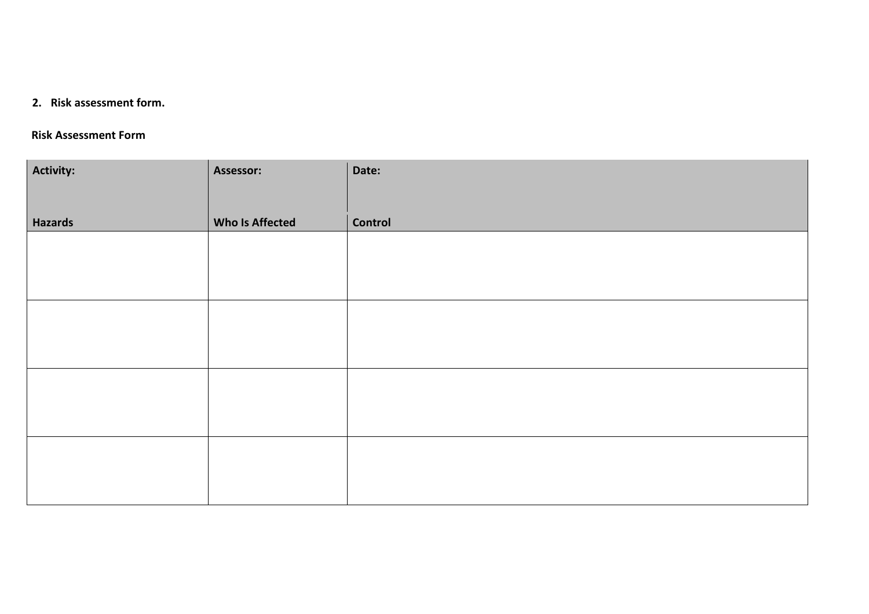#### **2. Risk assessment form.**

#### **Risk Assessment Form**

| Assessor:              | Date:   |
|------------------------|---------|
|                        |         |
| <b>Who Is Affected</b> | Control |
|                        |         |
|                        |         |
|                        |         |
|                        |         |
|                        |         |
|                        |         |
|                        |         |
|                        |         |
|                        |         |
|                        |         |
|                        |         |
|                        |         |
|                        |         |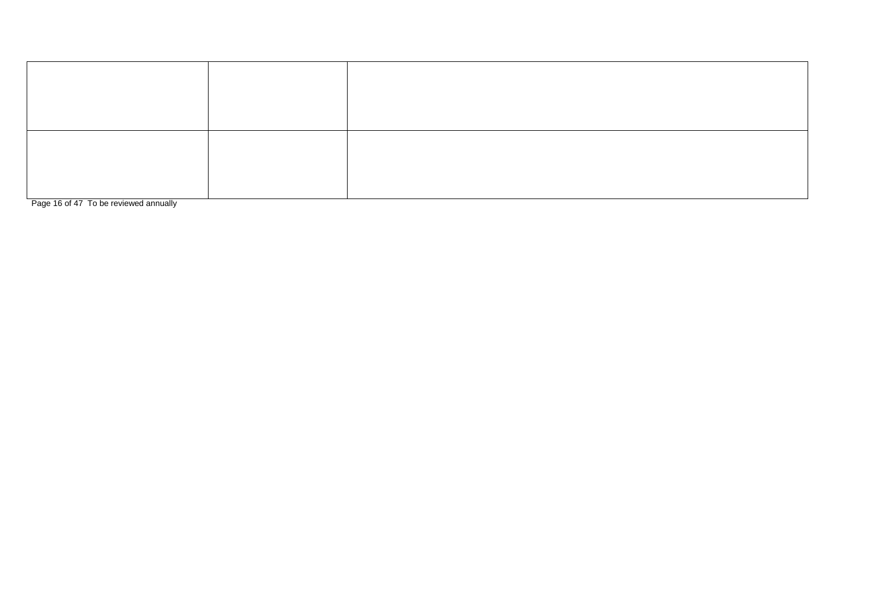Page 16 of 47 To be reviewed annually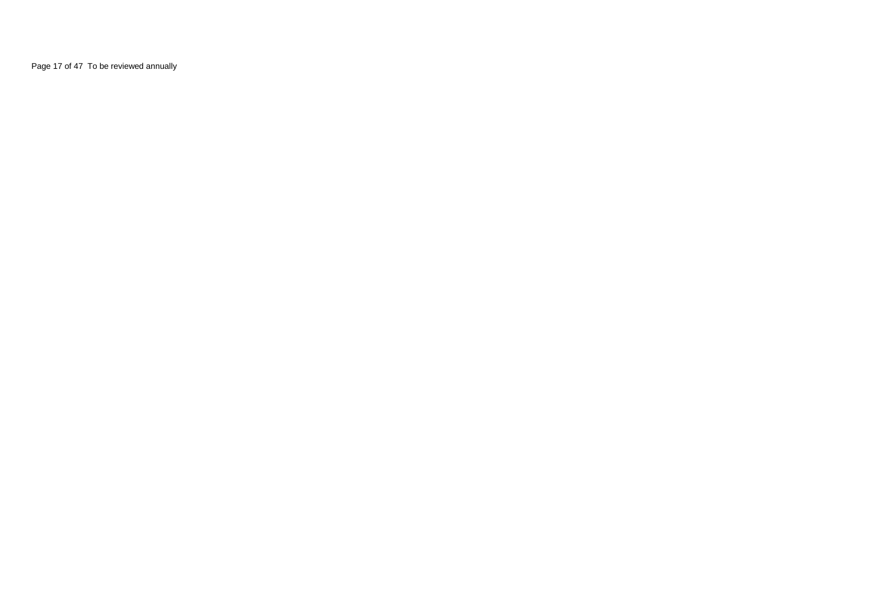Page 17 of 47 To be reviewed annually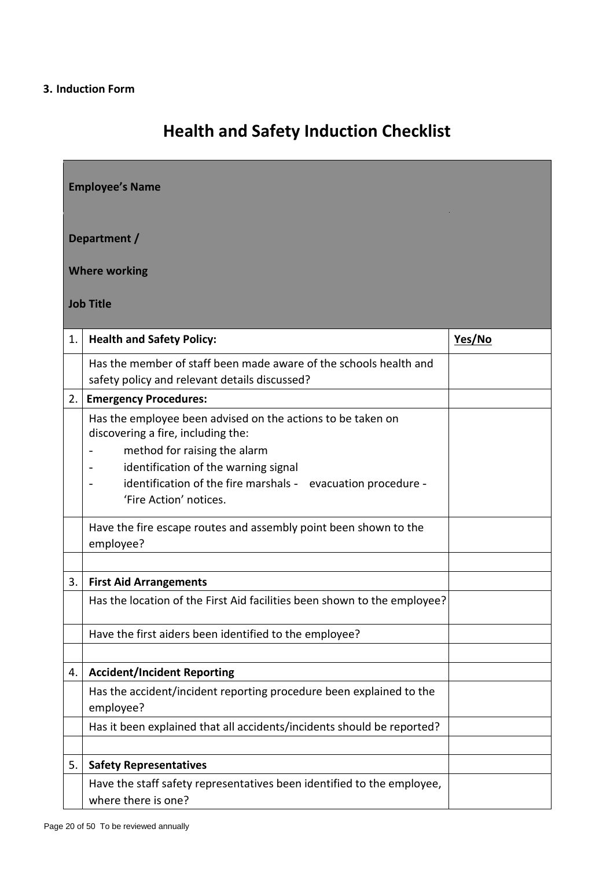# **Health and Safety Induction Checklist**

|     | <b>Employee's Name</b>                                                                                                                                                                                                                                              |        |
|-----|---------------------------------------------------------------------------------------------------------------------------------------------------------------------------------------------------------------------------------------------------------------------|--------|
|     | Department /                                                                                                                                                                                                                                                        |        |
|     | <b>Where working</b>                                                                                                                                                                                                                                                |        |
|     | <b>Job Title</b>                                                                                                                                                                                                                                                    |        |
| 1.  | <b>Health and Safety Policy:</b>                                                                                                                                                                                                                                    | Yes/No |
|     | Has the member of staff been made aware of the schools health and<br>safety policy and relevant details discussed?                                                                                                                                                  |        |
| 2.1 | <b>Emergency Procedures:</b>                                                                                                                                                                                                                                        |        |
|     | Has the employee been advised on the actions to be taken on<br>discovering a fire, including the:<br>method for raising the alarm<br>identification of the warning signal<br>identification of the fire marshals - evacuation procedure -<br>'Fire Action' notices. |        |
|     | Have the fire escape routes and assembly point been shown to the<br>employee?                                                                                                                                                                                       |        |
| 3.  | <b>First Aid Arrangements</b>                                                                                                                                                                                                                                       |        |
|     | Has the location of the First Aid facilities been shown to the employee?                                                                                                                                                                                            |        |
|     | Have the first aiders been identified to the employee?                                                                                                                                                                                                              |        |
| 4.  | <b>Accident/Incident Reporting</b>                                                                                                                                                                                                                                  |        |
|     | Has the accident/incident reporting procedure been explained to the<br>employee?                                                                                                                                                                                    |        |
|     | Has it been explained that all accidents/incidents should be reported?                                                                                                                                                                                              |        |
|     |                                                                                                                                                                                                                                                                     |        |
| 5.  | <b>Safety Representatives</b><br>Have the staff safety representatives been identified to the employee,<br>where there is one?                                                                                                                                      |        |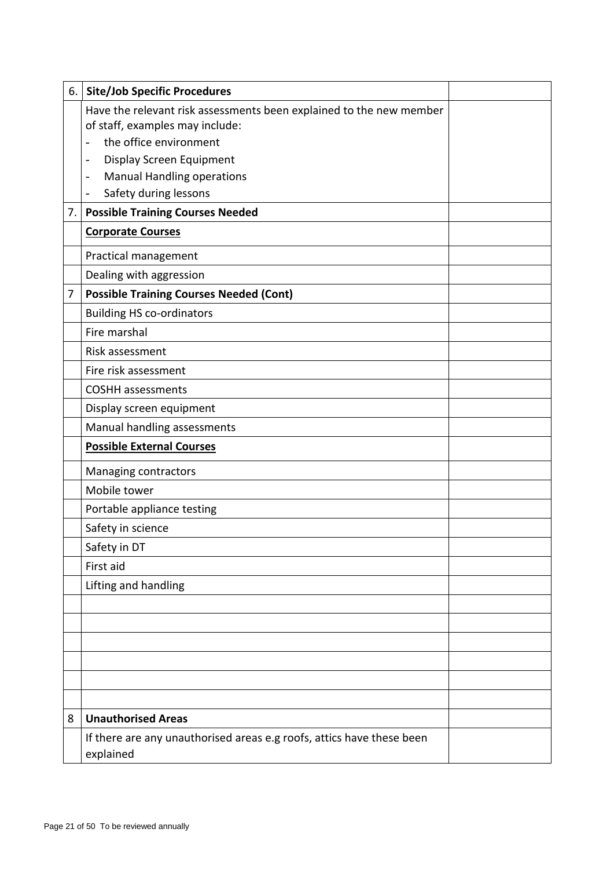| 6. | <b>Site/Job Specific Procedures</b>                                                |  |
|----|------------------------------------------------------------------------------------|--|
|    | Have the relevant risk assessments been explained to the new member                |  |
|    | of staff, examples may include:                                                    |  |
|    | the office environment                                                             |  |
|    | <b>Display Screen Equipment</b>                                                    |  |
|    | <b>Manual Handling operations</b>                                                  |  |
|    | Safety during lessons<br>$\qquad \qquad -$                                         |  |
| 7. | <b>Possible Training Courses Needed</b>                                            |  |
|    | <b>Corporate Courses</b>                                                           |  |
|    | Practical management                                                               |  |
|    | Dealing with aggression                                                            |  |
| 7  | <b>Possible Training Courses Needed (Cont)</b>                                     |  |
|    | <b>Building HS co-ordinators</b>                                                   |  |
|    | Fire marshal                                                                       |  |
|    | Risk assessment                                                                    |  |
|    | Fire risk assessment                                                               |  |
|    | <b>COSHH</b> assessments                                                           |  |
|    | Display screen equipment                                                           |  |
|    | Manual handling assessments                                                        |  |
|    | <b>Possible External Courses</b>                                                   |  |
|    | Managing contractors                                                               |  |
|    | Mobile tower                                                                       |  |
|    | Portable appliance testing                                                         |  |
|    | Safety in science                                                                  |  |
|    | Safety in DT                                                                       |  |
|    | First aid                                                                          |  |
|    | Lifting and handling                                                               |  |
|    |                                                                                    |  |
|    |                                                                                    |  |
|    |                                                                                    |  |
|    |                                                                                    |  |
|    |                                                                                    |  |
|    |                                                                                    |  |
| 8  | <b>Unauthorised Areas</b>                                                          |  |
|    | If there are any unauthorised areas e.g roofs, attics have these been<br>explained |  |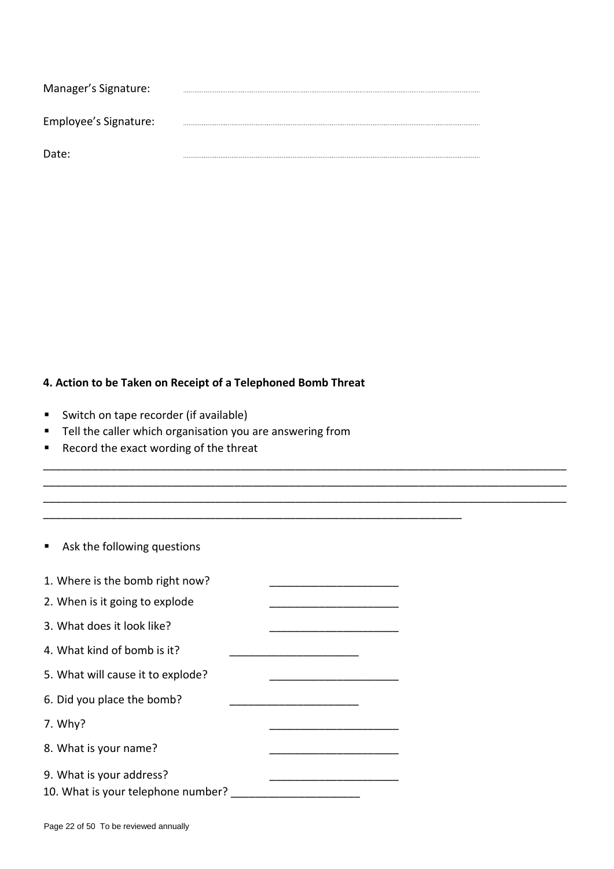| Manager's Signature:  |  |
|-----------------------|--|
| Employee's Signature: |  |
| Date:                 |  |

\_\_\_\_\_\_\_\_\_\_\_\_\_\_\_\_\_\_\_\_\_\_\_\_\_\_\_\_\_\_\_\_\_\_\_\_\_\_\_\_\_\_\_\_\_\_\_\_\_\_\_\_\_\_\_\_\_\_\_\_\_\_\_\_\_\_\_\_\_\_\_\_\_\_\_\_\_\_\_\_\_\_\_\_\_ \_\_\_\_\_\_\_\_\_\_\_\_\_\_\_\_\_\_\_\_\_\_\_\_\_\_\_\_\_\_\_\_\_\_\_\_\_\_\_\_\_\_\_\_\_\_\_\_\_\_\_\_\_\_\_\_\_\_\_\_\_\_\_\_\_\_\_\_\_\_\_\_\_\_\_\_\_\_\_\_\_\_\_\_\_ \_\_\_\_\_\_\_\_\_\_\_\_\_\_\_\_\_\_\_\_\_\_\_\_\_\_\_\_\_\_\_\_\_\_\_\_\_\_\_\_\_\_\_\_\_\_\_\_\_\_\_\_\_\_\_\_\_\_\_\_\_\_\_\_\_\_\_\_\_\_\_\_\_\_\_\_\_\_\_\_\_\_\_\_\_

\_\_\_\_\_\_\_\_\_\_\_\_\_\_\_\_\_\_\_\_\_\_\_\_\_\_\_\_\_\_\_\_\_\_\_\_\_\_\_\_\_\_\_\_\_\_\_\_\_\_\_\_\_\_\_\_\_\_\_\_\_\_\_\_\_\_\_\_

### **4. Action to be Taken on Receipt of a Telephoned Bomb Threat**

- Switch on tape recorder (if available)
- Tell the caller which organisation you are answering from
- Record the exact wording of the threat

#### ■ Ask the following questions

| 1. Where is the bomb right now?                                |  |
|----------------------------------------------------------------|--|
| 2. When is it going to explode                                 |  |
| 3. What does it look like?                                     |  |
| 4. What kind of bomb is it?                                    |  |
| 5. What will cause it to explode?                              |  |
| 6. Did you place the bomb?                                     |  |
| 7. Why?                                                        |  |
| 8. What is your name?                                          |  |
| 9. What is your address?<br>10. What is your telephone number? |  |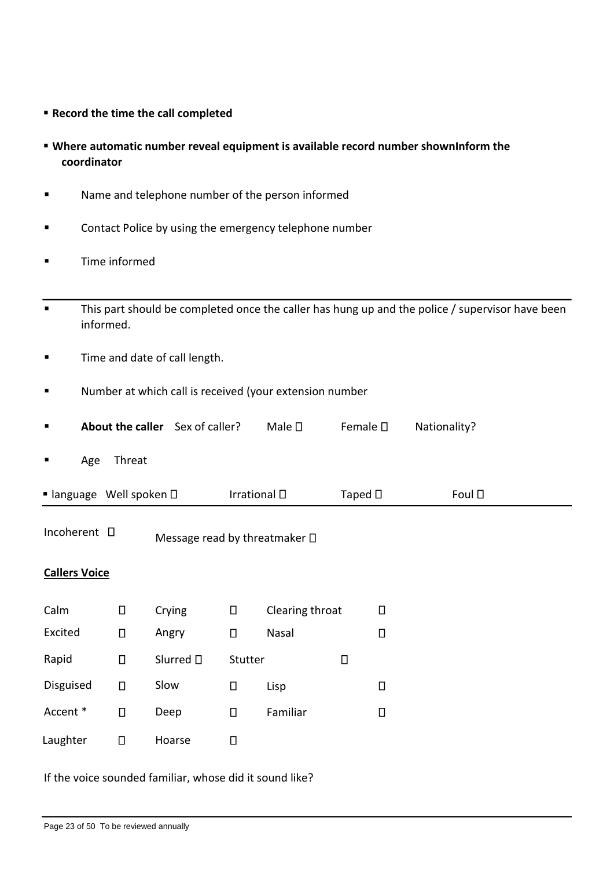- **Record the time the call completed**
- **Where automatic number reveal equipment is available record number shownInform the coordinator**
- **Name and telephone number of the person informed**
- **EXECONTERGY CONTACT POLICE by using the emergency telephone number**
- Time informed
- **This part should be completed once the caller has hung up and the police / supervisor have been** informed.
- **Time and date of call length.**
- Number at which call is received (your extension number
- About the caller Sex of caller? Male **D** Female D Nationality?
- Age Threat
- **If** language Well spoken  $\Box$  Taped  $\Box$  Taped  $\Box$  Foul  $\Box$ Incoherent  $\Box$  Message read by threatmaker  $\Box$ **Callers Voice**

 $\Box$ 

 $\Box$ 

 $\Box$ 

 $\Box$ 

Calm  $\Box$  Crying  $\Box$  Clearing throat Excited  $\square$  Angry  $\square$  Nasal Rapid  $\Box$  Slurred  $\Box$  Stutter  $\Box$ Disguised  $\Box$  Slow  $\Box$  Lisp Accent \*  $\Box$  Deep  $\Box$  Familiar Laughter  $\Box$  Hoarse  $\Box$ 

If the voice sounded familiar, whose did it sound like?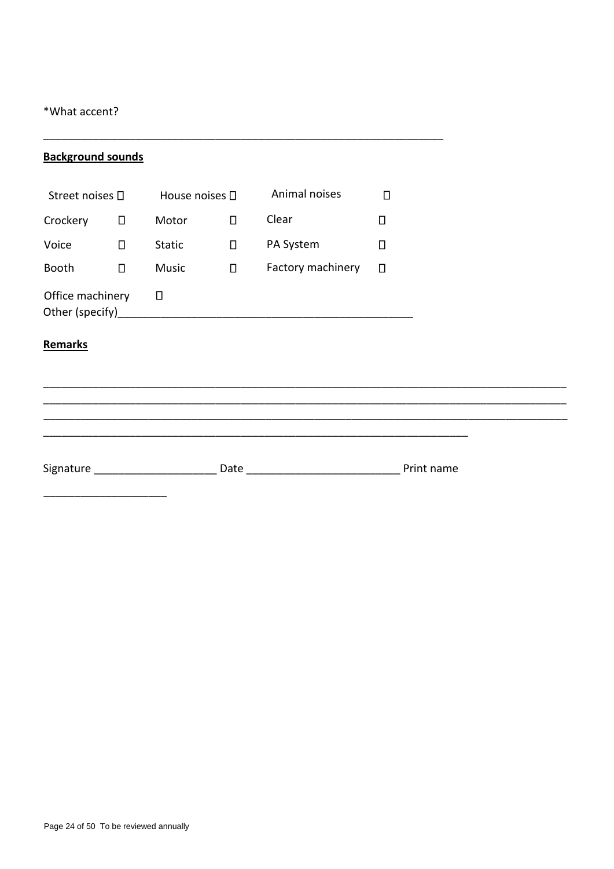\*What accent?

| <b>Background sounds</b>            |        |                |        |                                                                                                                      |            |  |
|-------------------------------------|--------|----------------|--------|----------------------------------------------------------------------------------------------------------------------|------------|--|
| Street noises □                     |        | House noises D |        | Animal noises                                                                                                        | $\Box$     |  |
| Crockery                            | $\Box$ | Motor          | $\Box$ | Clear                                                                                                                | П          |  |
| Voice                               | $\Box$ | <b>Static</b>  | $\Box$ | PA System                                                                                                            | П          |  |
| Booth                               | $\Box$ | Music          | $\Box$ | Factory machinery                                                                                                    | ◧          |  |
| Office machinery<br>Other (specify) |        | П              |        | <u> 1980 - Jan Barat, margaret amerikan basal dari personal dan berasal dan berasal dan berasal dan berasal dan </u> |            |  |
| Remarks                             |        |                |        |                                                                                                                      |            |  |
|                                     |        |                |        |                                                                                                                      |            |  |
|                                     |        |                |        |                                                                                                                      |            |  |
|                                     |        |                |        |                                                                                                                      |            |  |
| <b>Signature Signature</b>          |        |                | Date   |                                                                                                                      | Print name |  |

 $\frac{1}{2}$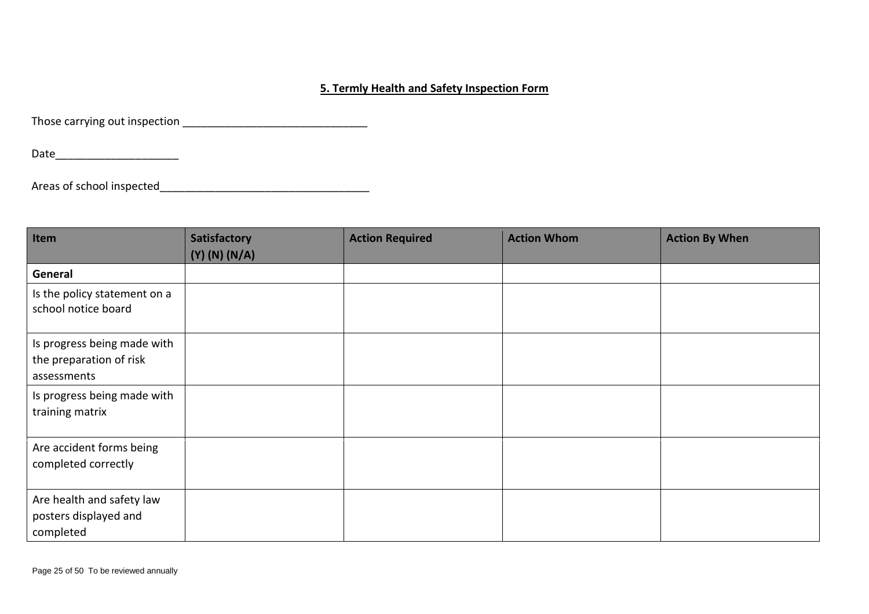#### **5. Termly Health and Safety Inspection Form**

Those carrying out inspection \_\_\_\_\_\_\_\_\_\_\_\_\_\_\_\_\_\_\_\_\_\_\_\_\_\_\_\_\_\_

Date\_\_\_\_\_\_\_\_\_\_\_\_\_\_\_\_\_\_\_\_

Areas of school inspected\_\_\_\_\_\_\_\_\_\_\_\_\_\_\_\_\_\_\_\_\_\_\_\_\_\_\_\_\_\_\_\_\_\_

| Item                                                            | <b>Satisfactory</b><br>$(Y)$ (N) $(N/A)$ | <b>Action Required</b> | <b>Action Whom</b> | <b>Action By When</b> |
|-----------------------------------------------------------------|------------------------------------------|------------------------|--------------------|-----------------------|
| General                                                         |                                          |                        |                    |                       |
| Is the policy statement on a<br>school notice board             |                                          |                        |                    |                       |
| Is progress being made with                                     |                                          |                        |                    |                       |
| the preparation of risk<br>assessments                          |                                          |                        |                    |                       |
| Is progress being made with<br>training matrix                  |                                          |                        |                    |                       |
| Are accident forms being<br>completed correctly                 |                                          |                        |                    |                       |
| Are health and safety law<br>posters displayed and<br>completed |                                          |                        |                    |                       |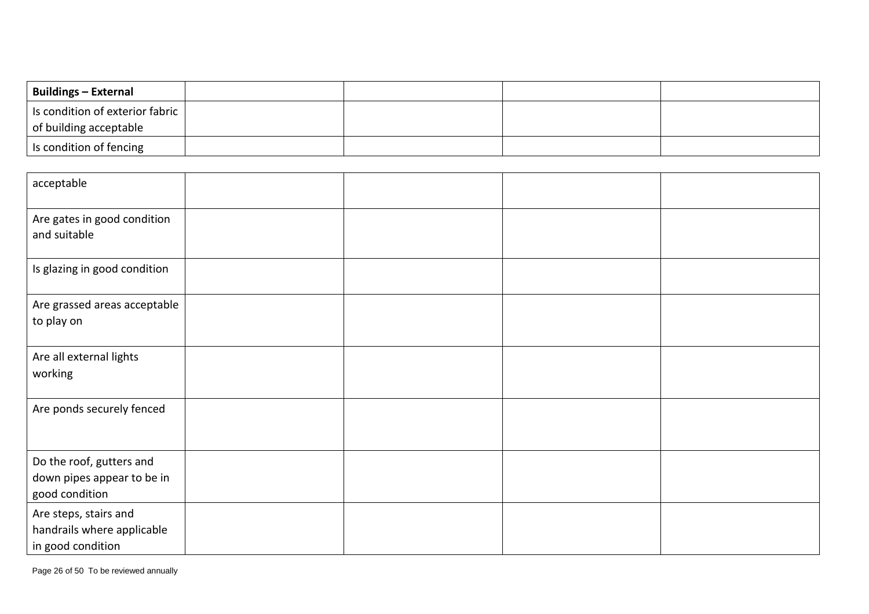| Buildings - External            |  |  |
|---------------------------------|--|--|
| Is condition of exterior fabric |  |  |
| of building acceptable          |  |  |
| Is condition of fencing         |  |  |

| acceptable                                                               |  |  |
|--------------------------------------------------------------------------|--|--|
| Are gates in good condition<br>and suitable                              |  |  |
| Is glazing in good condition                                             |  |  |
| Are grassed areas acceptable<br>to play on                               |  |  |
| Are all external lights<br>working                                       |  |  |
| Are ponds securely fenced                                                |  |  |
| Do the roof, gutters and<br>down pipes appear to be in<br>good condition |  |  |
| Are steps, stairs and<br>handrails where applicable<br>in good condition |  |  |

Page 26 of 50 To be reviewed annually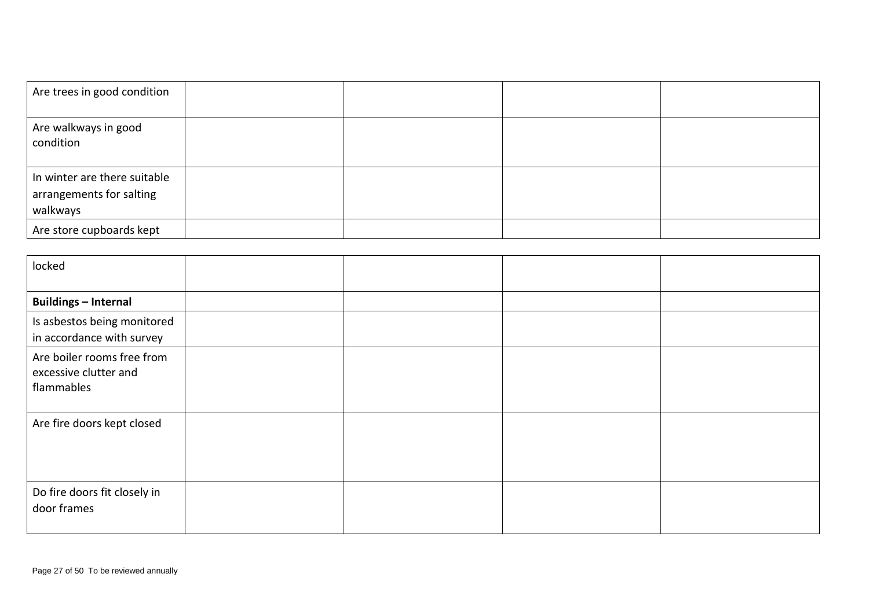| Are trees in good condition                                          |  |  |
|----------------------------------------------------------------------|--|--|
| Are walkways in good<br>condition                                    |  |  |
| In winter are there suitable<br>arrangements for salting<br>walkways |  |  |
| Are store cupboards kept                                             |  |  |

| locked                                                            |  |  |
|-------------------------------------------------------------------|--|--|
| <b>Buildings - Internal</b>                                       |  |  |
| Is asbestos being monitored<br>in accordance with survey          |  |  |
| Are boiler rooms free from<br>excessive clutter and<br>flammables |  |  |
| Are fire doors kept closed                                        |  |  |
| Do fire doors fit closely in<br>door frames                       |  |  |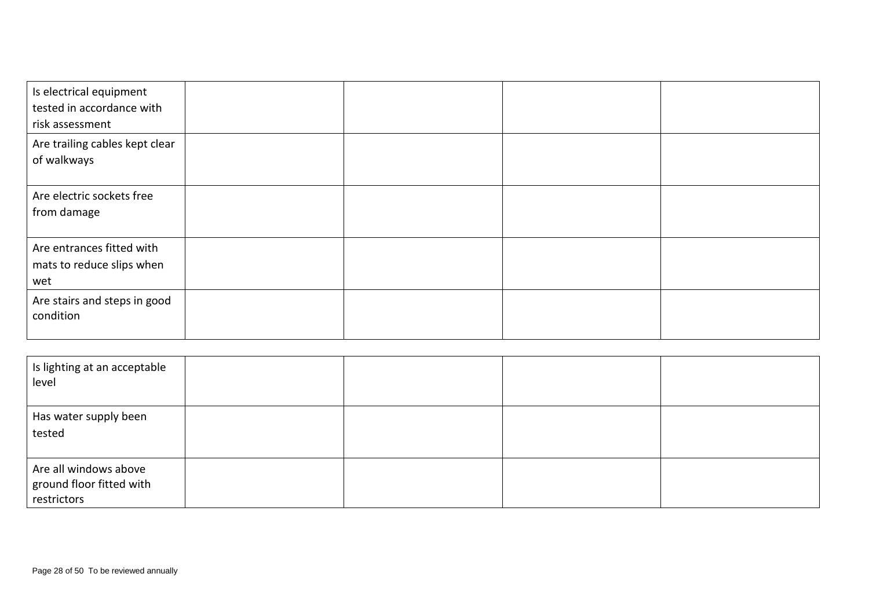| Is electrical equipment<br>tested in accordance with<br>risk assessment |  |  |
|-------------------------------------------------------------------------|--|--|
| Are trailing cables kept clear<br>of walkways                           |  |  |
| Are electric sockets free<br>from damage                                |  |  |
| Are entrances fitted with<br>mats to reduce slips when<br>wet           |  |  |
| Are stairs and steps in good<br>condition                               |  |  |

| Is lighting at an acceptable<br>level                            |  |  |
|------------------------------------------------------------------|--|--|
| Has water supply been<br>tested                                  |  |  |
| Are all windows above<br>ground floor fitted with<br>restrictors |  |  |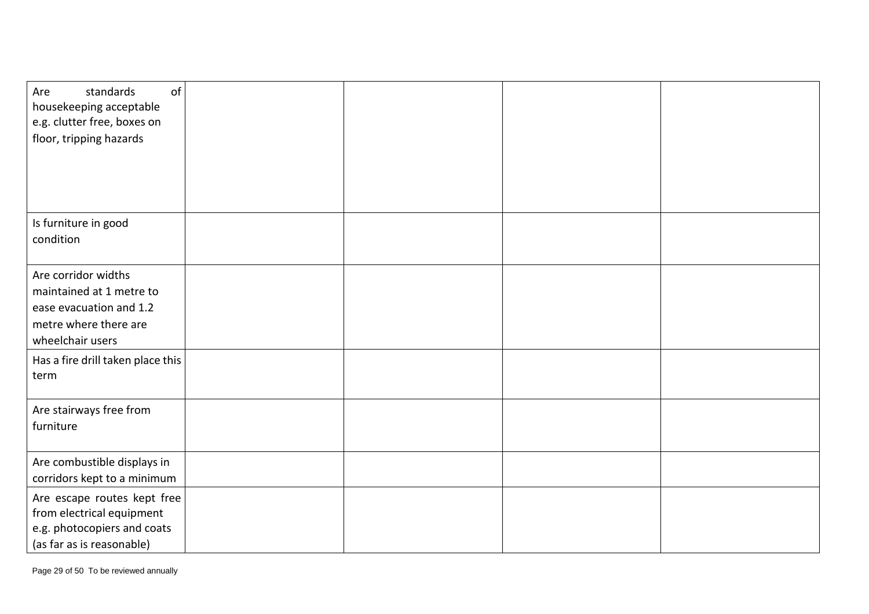| standards<br>of<br>Are<br>housekeeping acceptable<br>e.g. clutter free, boxes on<br>floor, tripping hazards             |  |  |
|-------------------------------------------------------------------------------------------------------------------------|--|--|
| Is furniture in good<br>condition                                                                                       |  |  |
| Are corridor widths<br>maintained at 1 metre to<br>ease evacuation and 1.2<br>metre where there are<br>wheelchair users |  |  |
| Has a fire drill taken place this<br>term                                                                               |  |  |
| Are stairways free from<br>furniture                                                                                    |  |  |
| Are combustible displays in<br>corridors kept to a minimum                                                              |  |  |
| Are escape routes kept free<br>from electrical equipment<br>e.g. photocopiers and coats<br>(as far as is reasonable)    |  |  |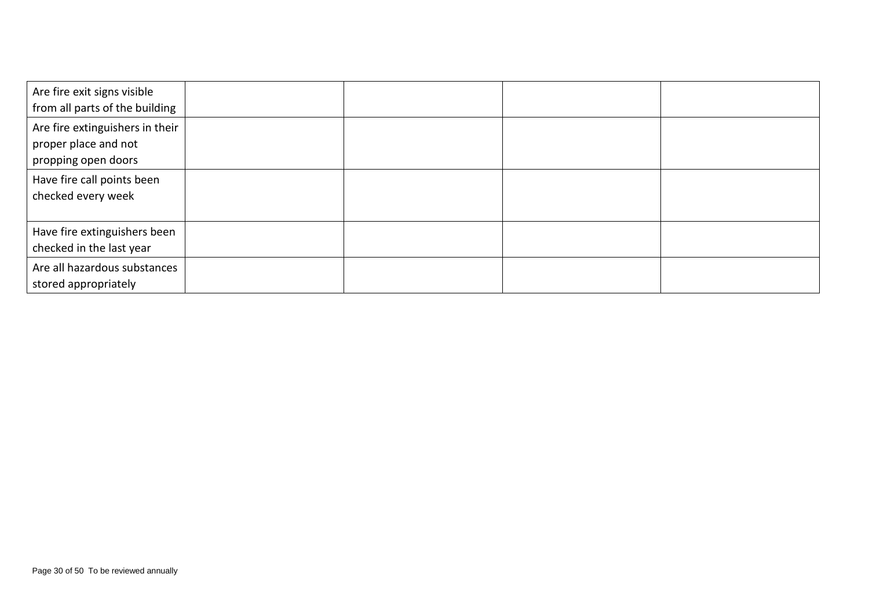| Are fire exit signs visible<br>from all parts of the building                  |  |  |
|--------------------------------------------------------------------------------|--|--|
| Are fire extinguishers in their<br>proper place and not<br>propping open doors |  |  |
| Have fire call points been<br>checked every week                               |  |  |
| Have fire extinguishers been<br>checked in the last year                       |  |  |
| Are all hazardous substances<br>stored appropriately                           |  |  |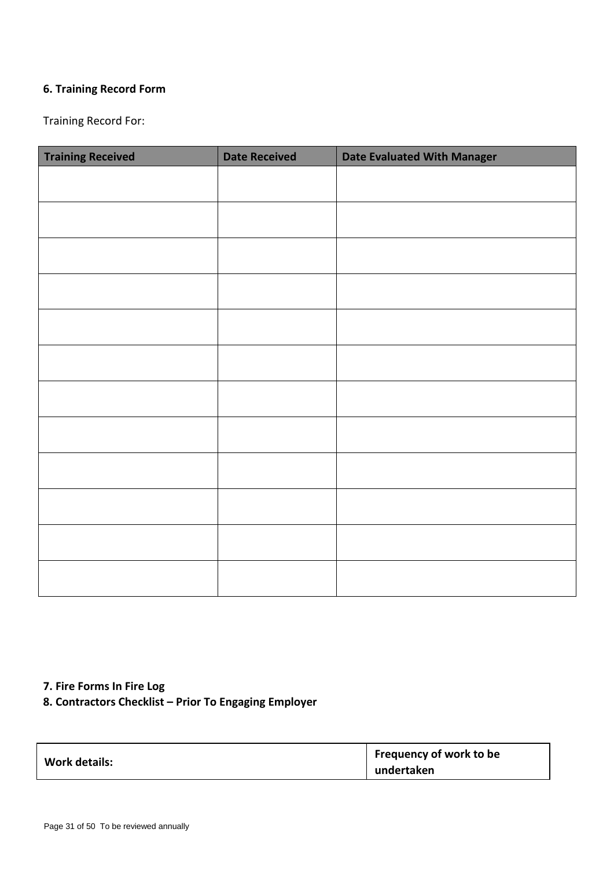# **6. Training Record Form**

Training Record For:

| <b>Training Received</b><br>ı | <b>Date Received</b> | <b>Date Evaluated With Manager</b> |
|-------------------------------|----------------------|------------------------------------|
|                               |                      |                                    |
|                               |                      |                                    |
|                               |                      |                                    |
|                               |                      |                                    |
|                               |                      |                                    |
|                               |                      |                                    |
|                               |                      |                                    |
|                               |                      |                                    |
|                               |                      |                                    |
|                               |                      |                                    |
|                               |                      |                                    |
|                               |                      |                                    |
|                               |                      |                                    |

# **7. Fire Forms In Fire Log**

**8. Contractors Checklist – Prior To Engaging Employer** 

| <b>Work details:</b> | Frequency of work to be |
|----------------------|-------------------------|
|                      | undertaken              |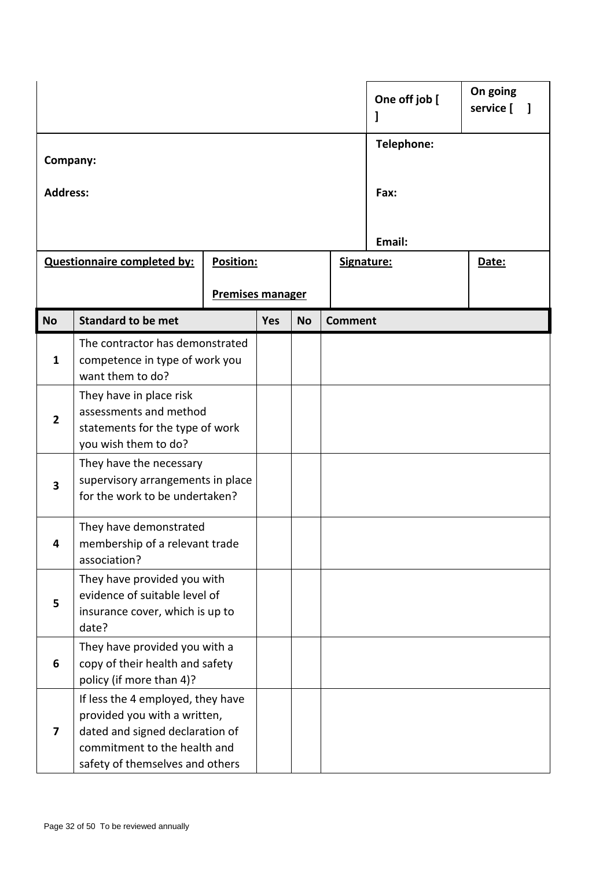|                         |                                                                                                                                                                         |                         |            |           |                | One off job [ | On going<br>service [ | -1 |
|-------------------------|-------------------------------------------------------------------------------------------------------------------------------------------------------------------------|-------------------------|------------|-----------|----------------|---------------|-----------------------|----|
| Company:                |                                                                                                                                                                         |                         |            |           |                | Telephone:    |                       |    |
| <b>Address:</b>         |                                                                                                                                                                         |                         |            |           |                | Fax:          |                       |    |
|                         |                                                                                                                                                                         |                         |            |           |                | Email:        |                       |    |
|                         | <b>Questionnaire completed by:</b>                                                                                                                                      | Position:               |            |           |                | Signature:    | Date:                 |    |
|                         |                                                                                                                                                                         | <b>Premises manager</b> |            |           |                |               |                       |    |
| <b>No</b>               | <b>Standard to be met</b>                                                                                                                                               |                         | <b>Yes</b> | <b>No</b> | <b>Comment</b> |               |                       |    |
| $\mathbf{1}$            | The contractor has demonstrated<br>competence in type of work you<br>want them to do?                                                                                   |                         |            |           |                |               |                       |    |
| $\overline{2}$          | They have in place risk<br>assessments and method<br>statements for the type of work<br>you wish them to do?                                                            |                         |            |           |                |               |                       |    |
| 3                       | They have the necessary<br>supervisory arrangements in place<br>for the work to be undertaken?                                                                          |                         |            |           |                |               |                       |    |
|                         | They have demonstrated<br>membership of a relevant trade<br>association?                                                                                                |                         |            |           |                |               |                       |    |
| 5                       | They have provided you with<br>evidence of suitable level of<br>insurance cover, which is up to<br>date?                                                                |                         |            |           |                |               |                       |    |
| 6                       | They have provided you with a<br>copy of their health and safety<br>policy (if more than 4)?                                                                            |                         |            |           |                |               |                       |    |
| $\overline{\mathbf{z}}$ | If less the 4 employed, they have<br>provided you with a written,<br>dated and signed declaration of<br>commitment to the health and<br>safety of themselves and others |                         |            |           |                |               |                       |    |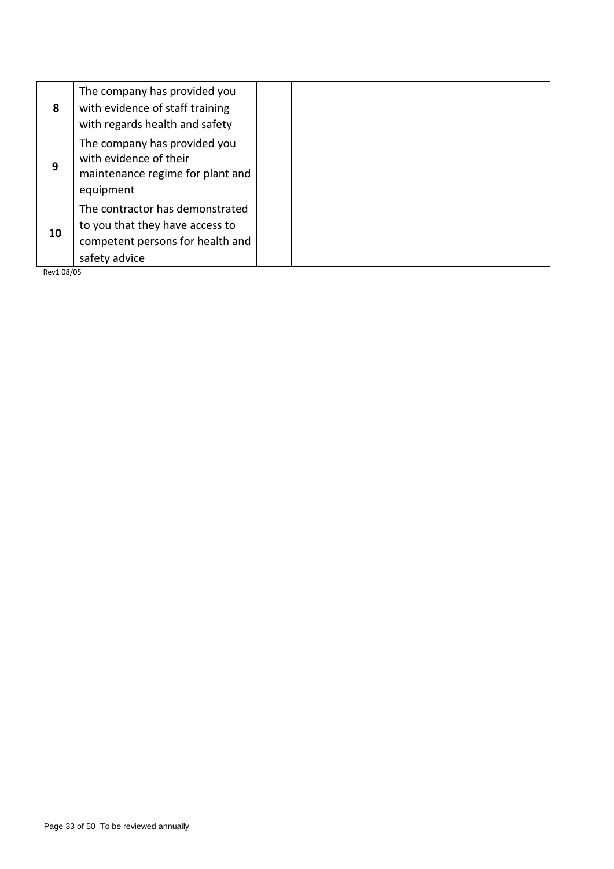| 8  | The company has provided you<br>with evidence of staff training<br>with regards health and safety                       |  |  |
|----|-------------------------------------------------------------------------------------------------------------------------|--|--|
| 9  | The company has provided you<br>with evidence of their<br>maintenance regime for plant and<br>equipment                 |  |  |
| 10 | The contractor has demonstrated<br>to you that they have access to<br>competent persons for health and<br>safety advice |  |  |

Rev1 08/05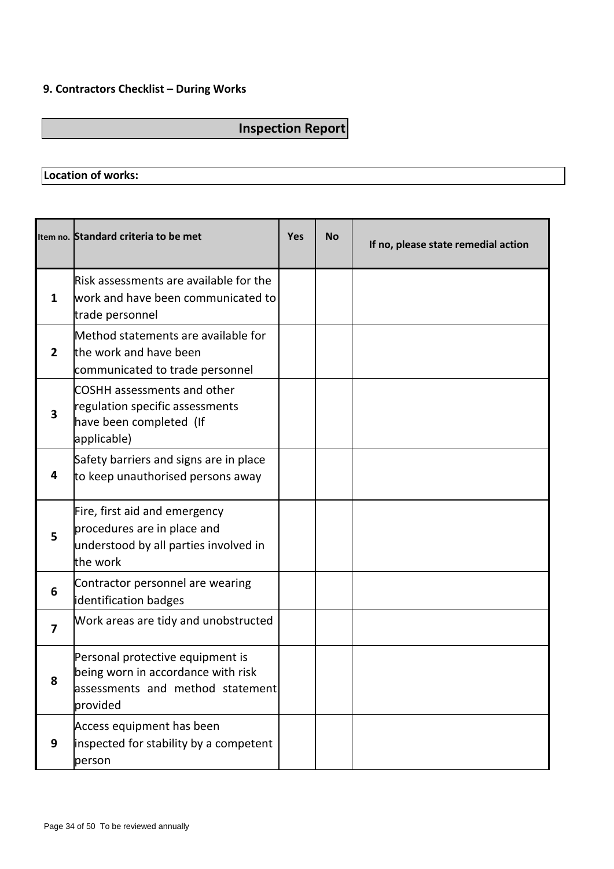# **9. Contractors Checklist – During Works**

# **Inspection Report**

**Location of works:** 

|                | Item no. Standard criteria to be met                                                                                   | <b>Yes</b> | <b>No</b> | If no, please state remedial action |
|----------------|------------------------------------------------------------------------------------------------------------------------|------------|-----------|-------------------------------------|
| 1              | Risk assessments are available for the<br>work and have been communicated to<br>trade personnel                        |            |           |                                     |
| $\overline{2}$ | Method statements are available for<br>the work and have been<br>communicated to trade personnel                       |            |           |                                     |
| 3              | COSHH assessments and other<br>regulation specific assessments<br>have been completed (If<br>applicable)               |            |           |                                     |
| 4              | Safety barriers and signs are in place<br>to keep unauthorised persons away                                            |            |           |                                     |
| 5              | Fire, first aid and emergency<br>procedures are in place and<br>understood by all parties involved in<br>the work      |            |           |                                     |
| 6              | Contractor personnel are wearing<br>identification badges                                                              |            |           |                                     |
| 7              | Work areas are tidy and unobstructed                                                                                   |            |           |                                     |
| 8              | Personal protective equipment is<br>being worn in accordance with risk<br>assessments and method statement<br>provided |            |           |                                     |
| 9              | Access equipment has been<br>inspected for stability by a competent<br>person                                          |            |           |                                     |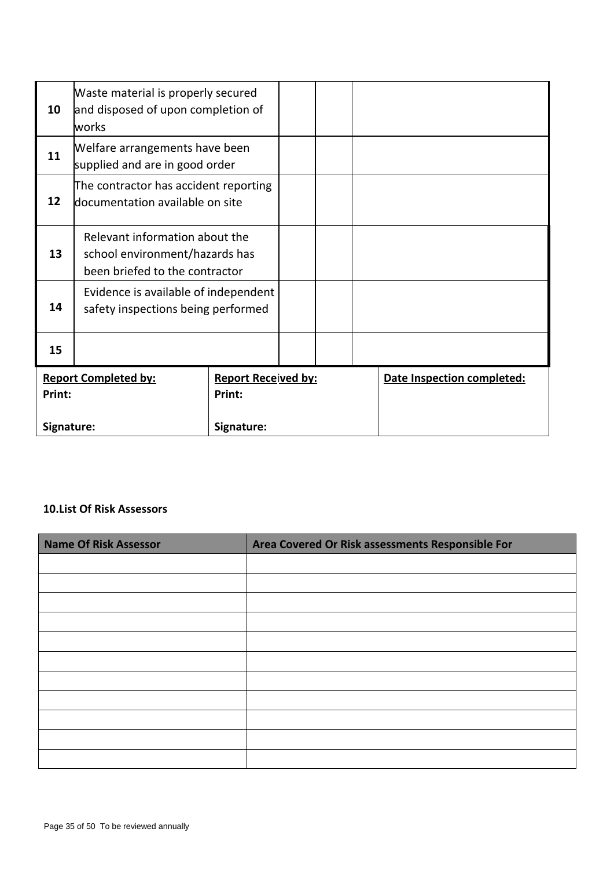| 10                                    | Waste material is properly secured<br>and disposed of upon completion of<br>works                  |                                      |  |                            |
|---------------------------------------|----------------------------------------------------------------------------------------------------|--------------------------------------|--|----------------------------|
| 11                                    | Welfare arrangements have been<br>supplied and are in good order                                   |                                      |  |                            |
| 12                                    | The contractor has accident reporting<br>documentation available on site                           |                                      |  |                            |
| 13                                    | Relevant information about the<br>school environment/hazards has<br>been briefed to the contractor |                                      |  |                            |
| 14                                    | Evidence is available of independent<br>safety inspections being performed                         |                                      |  |                            |
| 15                                    |                                                                                                    |                                      |  |                            |
| <b>Report Completed by:</b><br>Print: |                                                                                                    | <b>Report Received by:</b><br>Print: |  | Date Inspection completed: |
| Signature:                            |                                                                                                    | Signature:                           |  |                            |

## **10.List Of Risk Assessors**

| <b>Name Of Risk Assessor</b> | Area Covered Or Risk assessments Responsible For |
|------------------------------|--------------------------------------------------|
|                              |                                                  |
|                              |                                                  |
|                              |                                                  |
|                              |                                                  |
|                              |                                                  |
|                              |                                                  |
|                              |                                                  |
|                              |                                                  |
|                              |                                                  |
|                              |                                                  |
|                              |                                                  |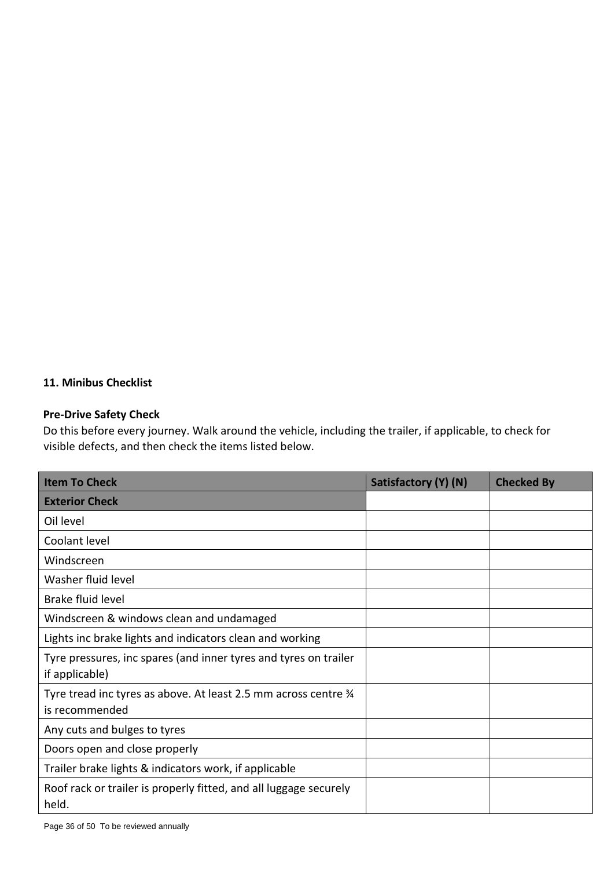# **11. Minibus Checklist**

## **Pre-Drive Safety Check**

Do this before every journey. Walk around the vehicle, including the trailer, if applicable, to check for visible defects, and then check the items listed below.

| <b>Item To Check</b>                                                               | Satisfactory (Y) (N) | <b>Checked By</b> |
|------------------------------------------------------------------------------------|----------------------|-------------------|
| <b>Exterior Check</b>                                                              |                      |                   |
| Oil level                                                                          |                      |                   |
| Coolant level                                                                      |                      |                   |
| Windscreen                                                                         |                      |                   |
| Washer fluid level                                                                 |                      |                   |
| Brake fluid level                                                                  |                      |                   |
| Windscreen & windows clean and undamaged                                           |                      |                   |
| Lights inc brake lights and indicators clean and working                           |                      |                   |
| Tyre pressures, inc spares (and inner tyres and tyres on trailer<br>if applicable) |                      |                   |
| Tyre tread inc tyres as above. At least 2.5 mm across centre 34<br>is recommended  |                      |                   |
| Any cuts and bulges to tyres                                                       |                      |                   |
| Doors open and close properly                                                      |                      |                   |
| Trailer brake lights & indicators work, if applicable                              |                      |                   |
| Roof rack or trailer is properly fitted, and all luggage securely<br>held.         |                      |                   |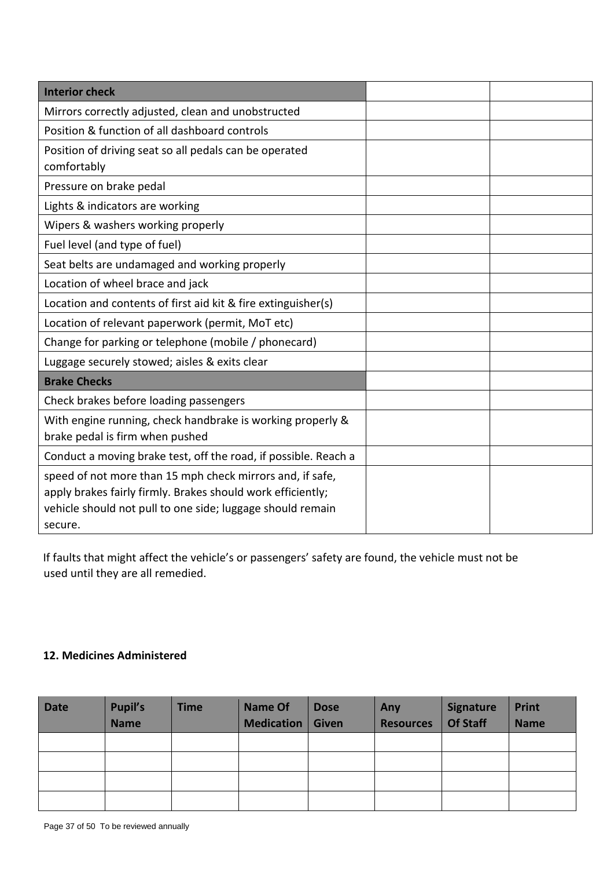| <b>Interior check</b>                                                                                                                                                                             |  |
|---------------------------------------------------------------------------------------------------------------------------------------------------------------------------------------------------|--|
| Mirrors correctly adjusted, clean and unobstructed                                                                                                                                                |  |
| Position & function of all dashboard controls                                                                                                                                                     |  |
| Position of driving seat so all pedals can be operated<br>comfortably                                                                                                                             |  |
| Pressure on brake pedal                                                                                                                                                                           |  |
| Lights & indicators are working                                                                                                                                                                   |  |
| Wipers & washers working properly                                                                                                                                                                 |  |
| Fuel level (and type of fuel)                                                                                                                                                                     |  |
| Seat belts are undamaged and working properly                                                                                                                                                     |  |
| Location of wheel brace and jack                                                                                                                                                                  |  |
| Location and contents of first aid kit & fire extinguisher(s)                                                                                                                                     |  |
| Location of relevant paperwork (permit, MoT etc)                                                                                                                                                  |  |
| Change for parking or telephone (mobile / phonecard)                                                                                                                                              |  |
| Luggage securely stowed; aisles & exits clear                                                                                                                                                     |  |
| <b>Brake Checks</b>                                                                                                                                                                               |  |
| Check brakes before loading passengers                                                                                                                                                            |  |
| With engine running, check handbrake is working properly &<br>brake pedal is firm when pushed                                                                                                     |  |
| Conduct a moving brake test, off the road, if possible. Reach a                                                                                                                                   |  |
| speed of not more than 15 mph check mirrors and, if safe,<br>apply brakes fairly firmly. Brakes should work efficiently;<br>vehicle should not pull to one side; luggage should remain<br>secure. |  |

If faults that might affect the vehicle's or passengers' safety are found, the vehicle must not be used until they are all remedied.

# **12. Medicines Administered**

| <b>Date</b> | Pupil's<br><b>Name</b> | <b>Time</b> | Name Of<br>Medication | <b>Dose</b><br><b>Given</b> | Any<br><b>Resources</b> | <b>Signature</b><br>Of Staff | <b>Print</b><br><b>Name</b> |
|-------------|------------------------|-------------|-----------------------|-----------------------------|-------------------------|------------------------------|-----------------------------|
|             |                        |             |                       |                             |                         |                              |                             |
|             |                        |             |                       |                             |                         |                              |                             |
|             |                        |             |                       |                             |                         |                              |                             |
|             |                        |             |                       |                             |                         |                              |                             |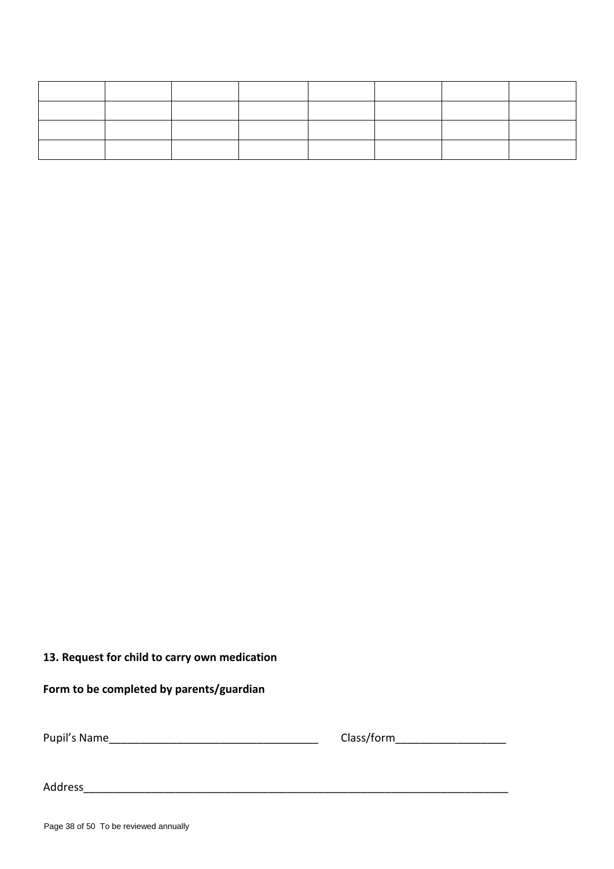# **13. Request for child to carry own medication**

**Form to be completed by parents/guardian** 

Address\_\_\_\_\_\_\_\_\_\_\_\_\_\_\_\_\_\_\_\_\_\_\_\_\_\_\_\_\_\_\_\_\_\_\_\_\_\_\_\_\_\_\_\_\_\_\_\_\_\_\_\_\_\_\_\_\_\_\_\_\_\_\_\_\_\_\_\_\_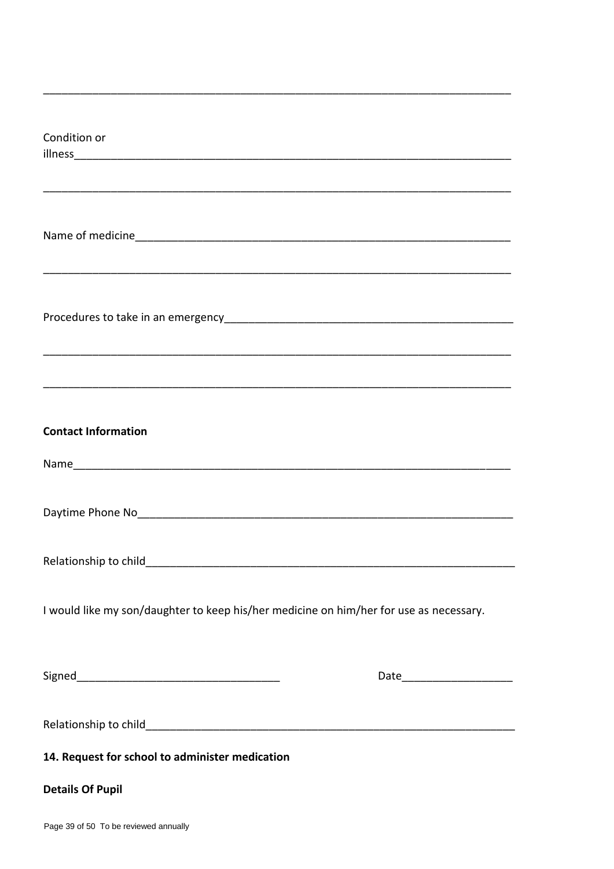| Condition or                                                                                                    |
|-----------------------------------------------------------------------------------------------------------------|
|                                                                                                                 |
|                                                                                                                 |
|                                                                                                                 |
|                                                                                                                 |
| <b>Contact Information</b>                                                                                      |
|                                                                                                                 |
| Daytime Phone No San Annual Communication of the Communication of the Communication of the Communication of the |
|                                                                                                                 |
| I would like my son/daughter to keep his/her medicine on him/her for use as necessary.                          |
| Date_______________________                                                                                     |
|                                                                                                                 |
| 14. Request for school to administer medication                                                                 |
| <b>Details Of Pupil</b>                                                                                         |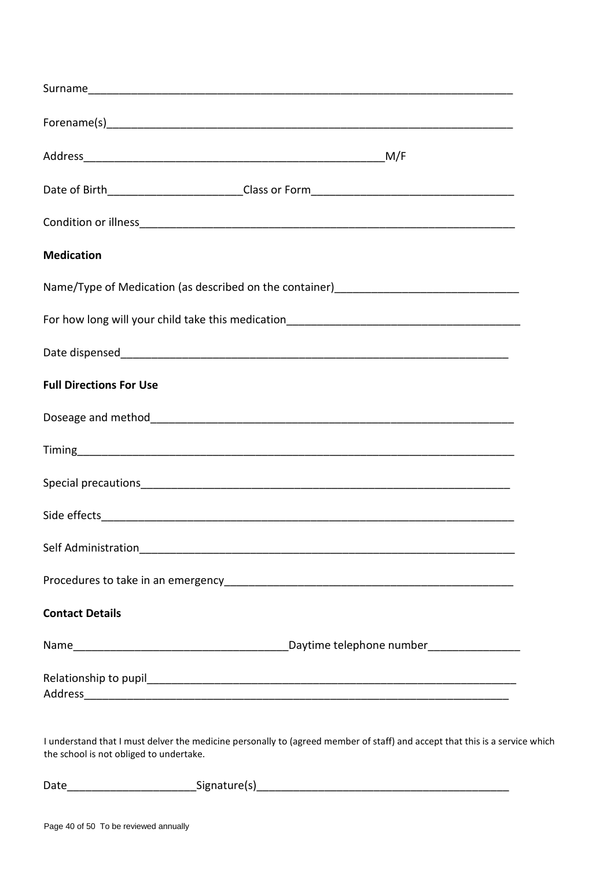| Date of Birth_________________________Class or Form_____________________________<br>Name/Type of Medication (as described on the container)__________________________ |                                |  |
|-----------------------------------------------------------------------------------------------------------------------------------------------------------------------|--------------------------------|--|
|                                                                                                                                                                       |                                |  |
|                                                                                                                                                                       |                                |  |
|                                                                                                                                                                       |                                |  |
|                                                                                                                                                                       |                                |  |
|                                                                                                                                                                       | <b>Medication</b>              |  |
|                                                                                                                                                                       |                                |  |
|                                                                                                                                                                       |                                |  |
|                                                                                                                                                                       |                                |  |
|                                                                                                                                                                       | <b>Full Directions For Use</b> |  |
|                                                                                                                                                                       |                                |  |
|                                                                                                                                                                       |                                |  |
|                                                                                                                                                                       |                                |  |
|                                                                                                                                                                       |                                |  |
|                                                                                                                                                                       | Self Administration            |  |
|                                                                                                                                                                       |                                |  |
|                                                                                                                                                                       | <b>Contact Details</b>         |  |
|                                                                                                                                                                       |                                |  |
|                                                                                                                                                                       |                                |  |
| Lunderstand that Lunust delver the medicine personally to (agreed member of staff) and accent that this is a service                                                  |                                |  |

I understand that I must delver the medicine personally to (agreed member of staff) and accept that this is a service which the school is not obliged to undertake.

Date\_\_\_\_\_\_\_\_\_\_\_\_\_\_\_\_\_\_\_\_\_Signature(s)\_\_\_\_\_\_\_\_\_\_\_\_\_\_\_\_\_\_\_\_\_\_\_\_\_\_\_\_\_\_\_\_\_\_\_\_\_\_\_\_\_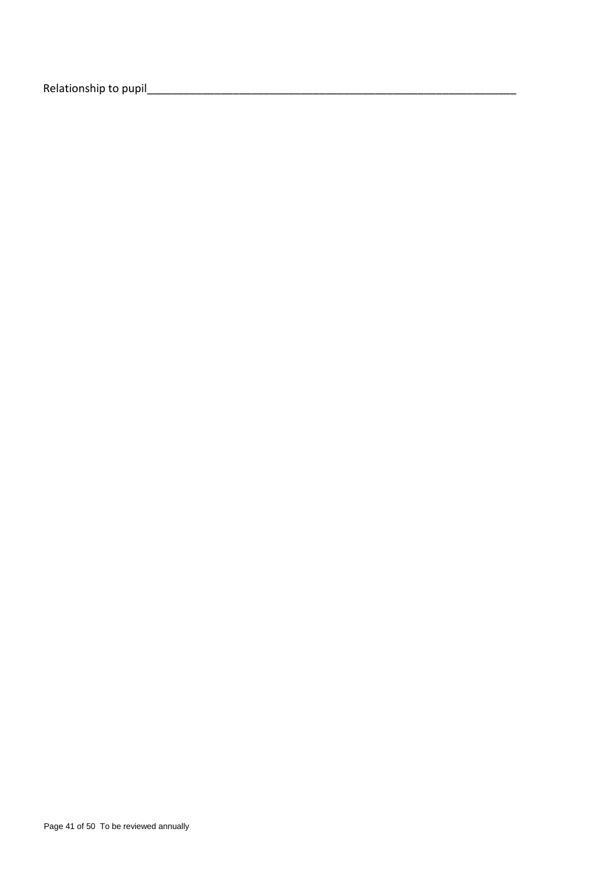Relationship to pupil\_\_\_\_\_\_\_\_\_\_\_\_\_\_\_\_\_\_\_\_\_\_\_\_\_\_\_\_\_\_\_\_\_\_\_\_\_\_\_\_\_\_\_\_\_\_\_\_\_\_\_\_\_\_\_\_\_\_\_\_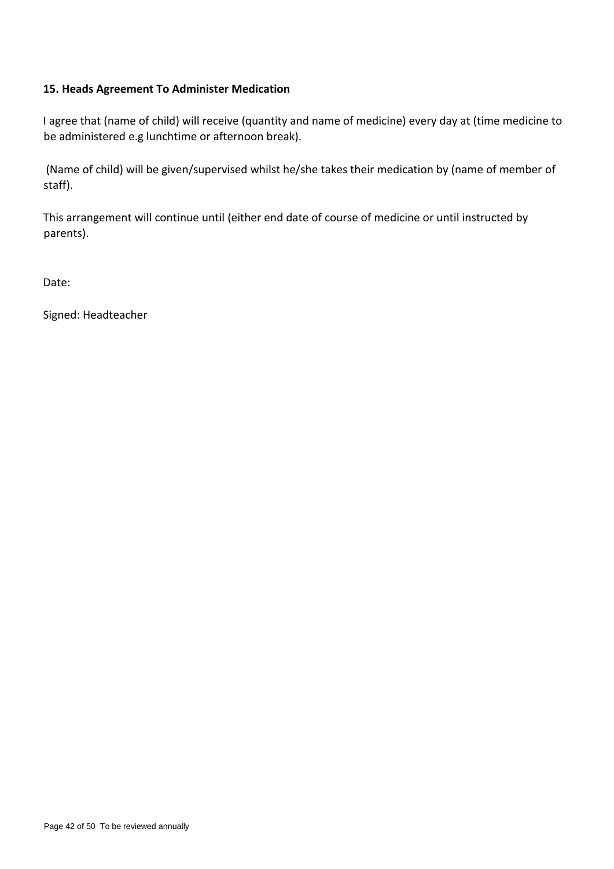#### **15. Heads Agreement To Administer Medication**

I agree that (name of child) will receive (quantity and name of medicine) every day at (time medicine to be administered e.g lunchtime or afternoon break).

(Name of child) will be given/supervised whilst he/she takes their medication by (name of member of staff).

This arrangement will continue until (either end date of course of medicine or until instructed by parents).

Date:

Signed: Headteacher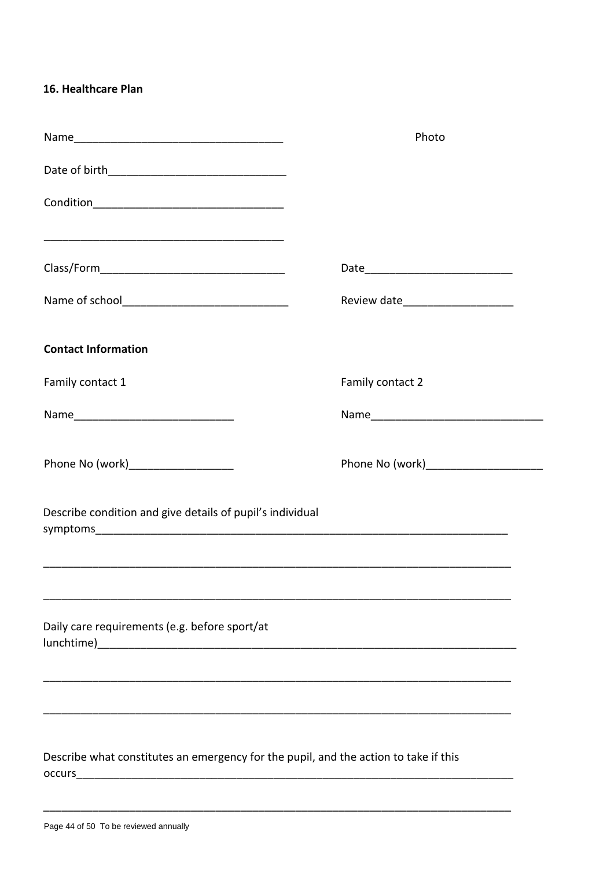#### 16. Healthcare Plan

|                                                                                                       | Photo                             |
|-------------------------------------------------------------------------------------------------------|-----------------------------------|
|                                                                                                       |                                   |
|                                                                                                       |                                   |
|                                                                                                       |                                   |
|                                                                                                       | Review date______________________ |
| <b>Contact Information</b>                                                                            |                                   |
| Family contact 1                                                                                      | Family contact 2                  |
|                                                                                                       |                                   |
| Phone No (work)_____________________                                                                  |                                   |
| Describe condition and give details of pupil's individual                                             |                                   |
| Daily care requirements (e.g. before sport/at                                                         |                                   |
|                                                                                                       |                                   |
|                                                                                                       |                                   |
| Describe what constitutes an emergency for the pupil, and the action to take if this<br><b>OCCULS</b> |                                   |

Page 44 of 50 To be reviewed annually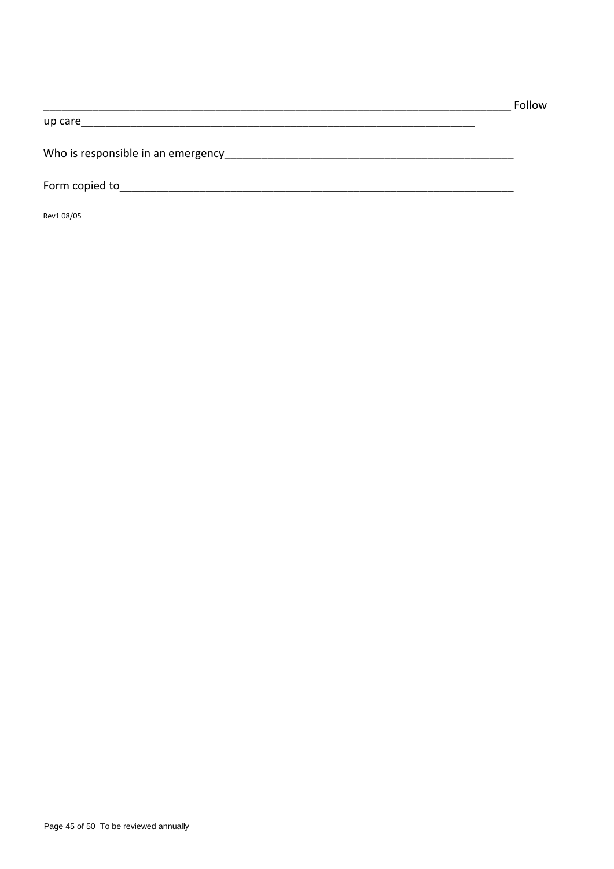Form copied to subsequently a series of the series of the series of the series of the series of the series of the series of the series of the series of the series of the series of the series of the series of the series of

Rev1 08/05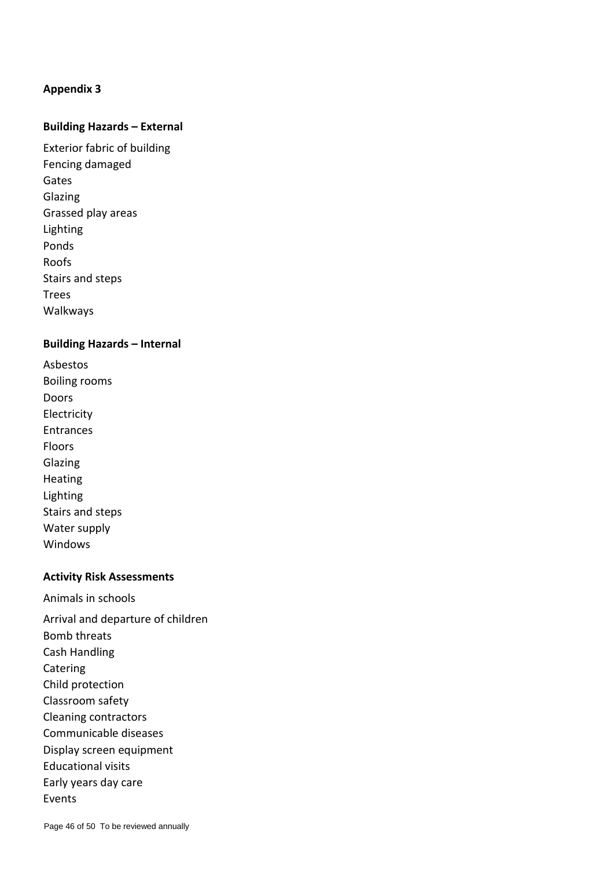#### **Appendix 3**

#### **Building Hazards – External**

Exterior fabric of building Fencing damaged Gates Glazing Grassed play areas Lighting Ponds Roofs Stairs and steps Trees Walkways

#### **Building Hazards – Internal**

Asbestos Boiling rooms Doors Electricity Entrances Floors Glazing Heating Lighting Stairs and steps Water supply Windows

#### **Activity Risk Assessments**

Animals in schools Arrival and departure of children Bomb threats Cash Handling Catering Child protection Classroom safety Cleaning contractors Communicable diseases Display screen equipment Educational visits Early years day care Events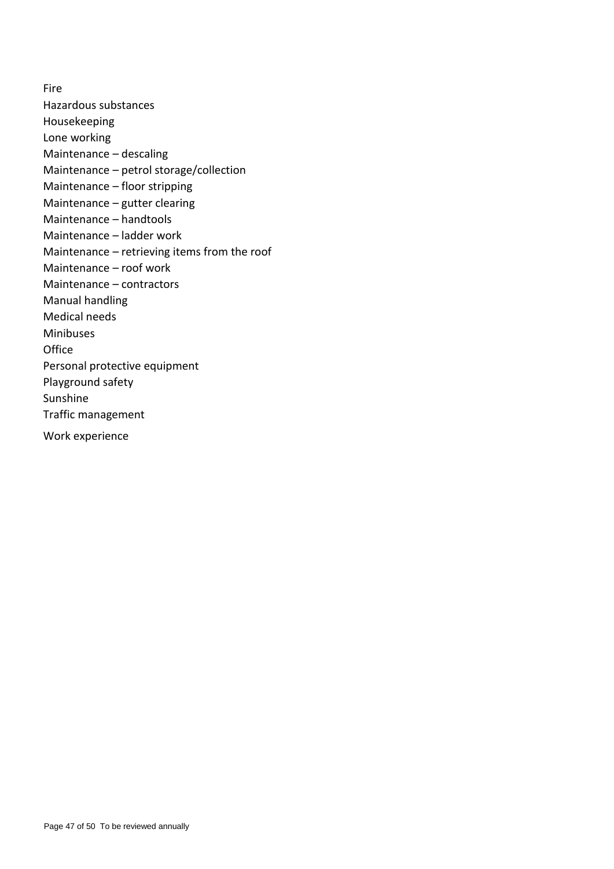Fire Hazardous substances Housekeeping Lone working Maintenance – descaling Maintenance – petrol storage/collection Maintenance – floor stripping Maintenance – gutter clearing Maintenance – handtools Maintenance – ladder work Maintenance – retrieving items from the roof Maintenance – roof work Maintenance – contractors Manual handling Medical needs Minibuses **Office** Personal protective equipment Playground safety Sunshine Traffic management Work experience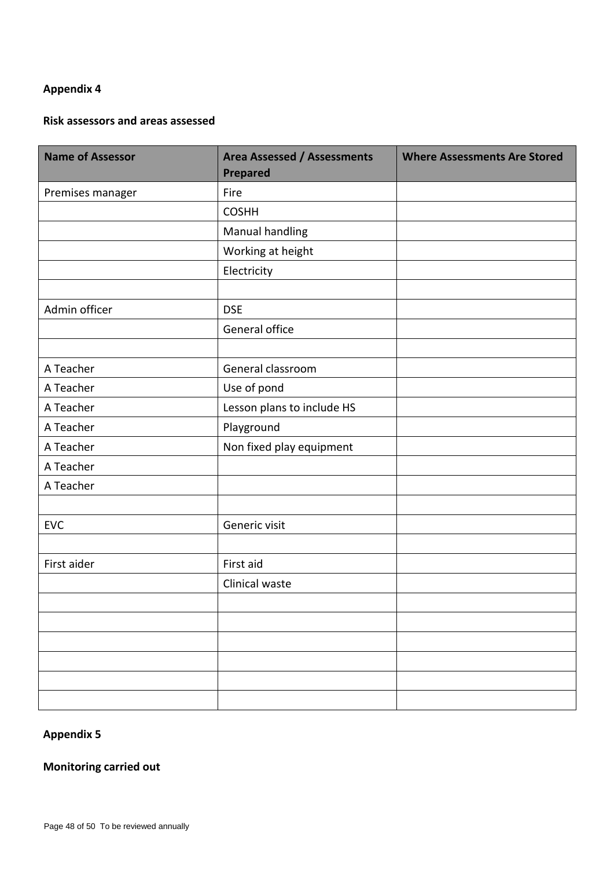# **Appendix 4**

# **Risk assessors and areas assessed**

| <b>Name of Assessor</b> | <b>Area Assessed / Assessments</b><br>Prepared | <b>Where Assessments Are Stored</b> |
|-------------------------|------------------------------------------------|-------------------------------------|
| Premises manager        | Fire                                           |                                     |
|                         | <b>COSHH</b>                                   |                                     |
|                         | <b>Manual handling</b>                         |                                     |
|                         | Working at height                              |                                     |
|                         | Electricity                                    |                                     |
|                         |                                                |                                     |
| Admin officer           | <b>DSE</b>                                     |                                     |
|                         | General office                                 |                                     |
|                         |                                                |                                     |
| A Teacher               | General classroom                              |                                     |
| A Teacher               | Use of pond                                    |                                     |
| A Teacher               | Lesson plans to include HS                     |                                     |
| A Teacher               | Playground                                     |                                     |
| A Teacher               | Non fixed play equipment                       |                                     |
| A Teacher               |                                                |                                     |
| A Teacher               |                                                |                                     |
|                         |                                                |                                     |
| <b>EVC</b>              | Generic visit                                  |                                     |
|                         |                                                |                                     |
| First aider             | First aid                                      |                                     |
|                         | Clinical waste                                 |                                     |
|                         |                                                |                                     |
|                         |                                                |                                     |
|                         |                                                |                                     |
|                         |                                                |                                     |
|                         |                                                |                                     |
|                         |                                                |                                     |

# **Appendix 5**

# **Monitoring carried out**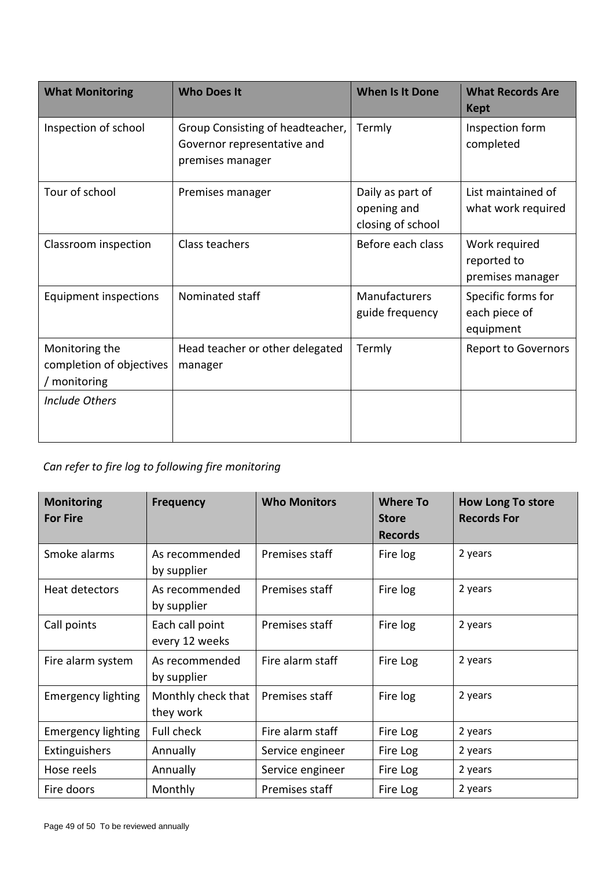| <b>What Monitoring</b>                                     | <b>Who Does It</b>                                                                  | <b>When Is It Done</b>                               | <b>What Records Are</b><br><b>Kept</b>           |
|------------------------------------------------------------|-------------------------------------------------------------------------------------|------------------------------------------------------|--------------------------------------------------|
| Inspection of school                                       | Group Consisting of headteacher,<br>Governor representative and<br>premises manager | Termly                                               | Inspection form<br>completed                     |
| Tour of school                                             | Premises manager                                                                    | Daily as part of<br>opening and<br>closing of school | List maintained of<br>what work required         |
| Classroom inspection                                       | Class teachers                                                                      | Before each class                                    | Work required<br>reported to<br>premises manager |
| <b>Equipment inspections</b>                               | Nominated staff                                                                     | Manufacturers<br>guide frequency                     | Specific forms for<br>each piece of<br>equipment |
| Monitoring the<br>completion of objectives<br>/ monitoring | Head teacher or other delegated<br>manager                                          | Termly                                               | <b>Report to Governors</b>                       |
| <b>Include Others</b>                                      |                                                                                     |                                                      |                                                  |

# *Can refer to fire log to following fire monitoring*

| <b>Monitoring</b><br><b>For Fire</b> | <b>Frequency</b>                  | <b>Who Monitors</b> | <b>Where To</b><br><b>Store</b><br><b>Records</b> | <b>How Long To store</b><br><b>Records For</b> |
|--------------------------------------|-----------------------------------|---------------------|---------------------------------------------------|------------------------------------------------|
| Smoke alarms                         | As recommended<br>by supplier     | Premises staff      | Fire log                                          | 2 years                                        |
| Heat detectors                       | As recommended<br>by supplier     | Premises staff      | Fire log                                          | 2 years                                        |
| Call points                          | Each call point<br>every 12 weeks | Premises staff      | Fire log                                          | 2 years                                        |
| Fire alarm system                    | As recommended<br>by supplier     | Fire alarm staff    | Fire Log                                          | 2 years                                        |
| <b>Emergency lighting</b>            | Monthly check that<br>they work   | Premises staff      | Fire log                                          | 2 years                                        |
| <b>Emergency lighting</b>            | <b>Full check</b>                 | Fire alarm staff    | Fire Log                                          | 2 years                                        |
| Extinguishers                        | Annually                          | Service engineer    | Fire Log                                          | 2 years                                        |
| Hose reels                           | Annually                          | Service engineer    | Fire Log                                          | 2 years                                        |
| Fire doors                           | Monthly                           | Premises staff      | Fire Log                                          | 2 years                                        |